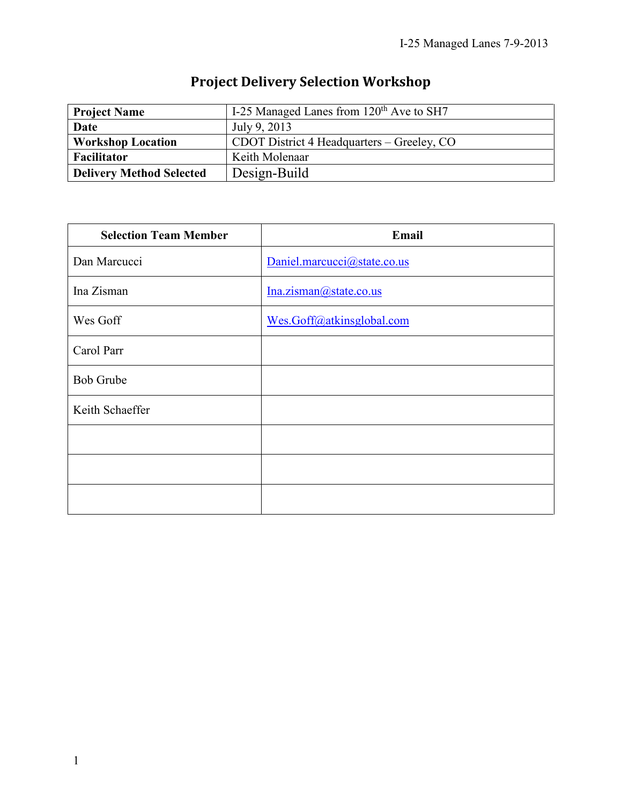| <b>Project Name</b>             | I-25 Managed Lanes from 120 <sup>th</sup> Ave to SH7 |
|---------------------------------|------------------------------------------------------|
| Date                            | July 9, 2013                                         |
| <b>Workshop Location</b>        | CDOT District 4 Headquarters – Greeley, CO           |
| Facilitator                     | Keith Molenaar                                       |
| <b>Delivery Method Selected</b> | Design-Build                                         |

# **Project Delivery Selection Workshop**

| <b>Selection Team Member</b> | Email                       |
|------------------------------|-----------------------------|
| Dan Marcucci                 | Daniel.marcucci@state.co.us |
| Ina Zisman                   | Ina. zisman@state.co.us     |
| Wes Goff                     | Wes.Goff@atkinsglobal.com   |
| Carol Parr                   |                             |
| <b>Bob Grube</b>             |                             |
| Keith Schaeffer              |                             |
|                              |                             |
|                              |                             |
|                              |                             |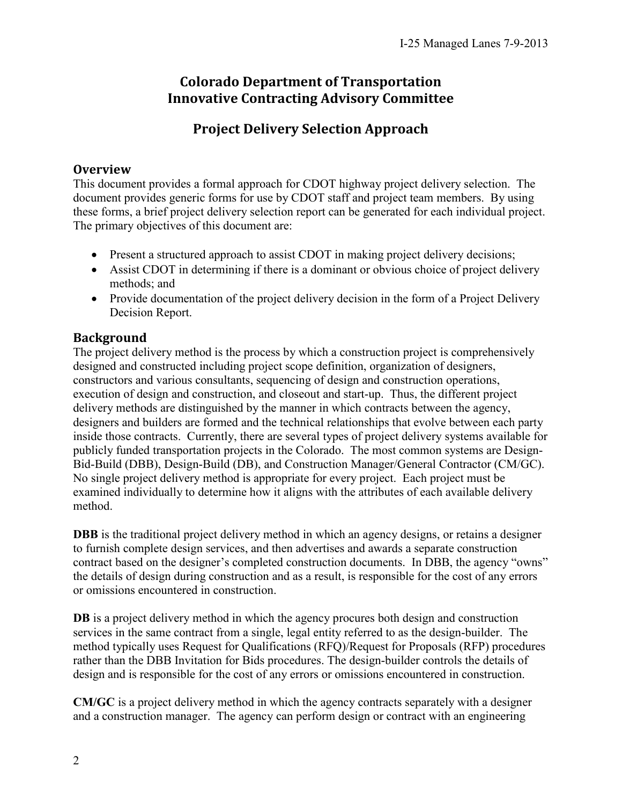### **Colorado Department of Transportation Innovative Contracting Advisory Committee**

## **Project Delivery Selection Approach**

### **Overview**

This document provides a formal approach for CDOT highway project delivery selection. The document provides generic forms for use by CDOT staff and project team members. By using these forms, a brief project delivery selection report can be generated for each individual project. The primary objectives of this document are:

- Present a structured approach to assist CDOT in making project delivery decisions;
- Assist CDOT in determining if there is a dominant or obvious choice of project delivery methods; and
- Provide documentation of the project delivery decision in the form of a Project Delivery Decision Report.

### **Background**

The project delivery method is the process by which a construction project is comprehensively designed and constructed including project scope definition, organization of designers, constructors and various consultants, sequencing of design and construction operations, execution of design and construction, and closeout and start-up. Thus, the different project delivery methods are distinguished by the manner in which contracts between the agency, designers and builders are formed and the technical relationships that evolve between each party inside those contracts. Currently, there are several types of project delivery systems available for publicly funded transportation projects in the Colorado. The most common systems are Design-Bid-Build (DBB), Design-Build (DB), and Construction Manager/General Contractor (CM/GC). No single project delivery method is appropriate for every project. Each project must be examined individually to determine how it aligns with the attributes of each available delivery method.

**DBB** is the traditional project delivery method in which an agency designs, or retains a designer to furnish complete design services, and then advertises and awards a separate construction contract based on the designer's completed construction documents. In DBB, the agency "owns" the details of design during construction and as a result, is responsible for the cost of any errors or omissions encountered in construction.

**DB** is a project delivery method in which the agency procures both design and construction services in the same contract from a single, legal entity referred to as the design-builder. The method typically uses Request for Qualifications (RFQ)/Request for Proposals (RFP) procedures rather than the DBB Invitation for Bids procedures. The design-builder controls the details of design and is responsible for the cost of any errors or omissions encountered in construction.

**CM/GC** is a project delivery method in which the agency contracts separately with a designer and a construction manager. The agency can perform design or contract with an engineering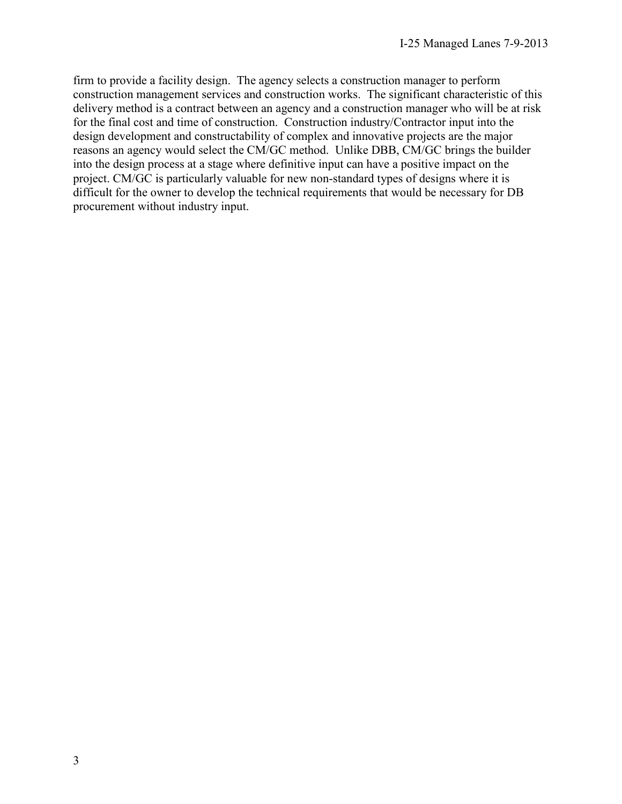firm to provide a facility design. The agency selects a construction manager to perform construction management services and construction works. The significant characteristic of this delivery method is a contract between an agency and a construction manager who will be at risk for the final cost and time of construction. Construction industry/Contractor input into the design development and constructability of complex and innovative projects are the major reasons an agency would select the CM/GC method. Unlike DBB, CM/GC brings the builder into the design process at a stage where definitive input can have a positive impact on the project. CM/GC is particularly valuable for new non-standard types of designs where it is difficult for the owner to develop the technical requirements that would be necessary for DB procurement without industry input.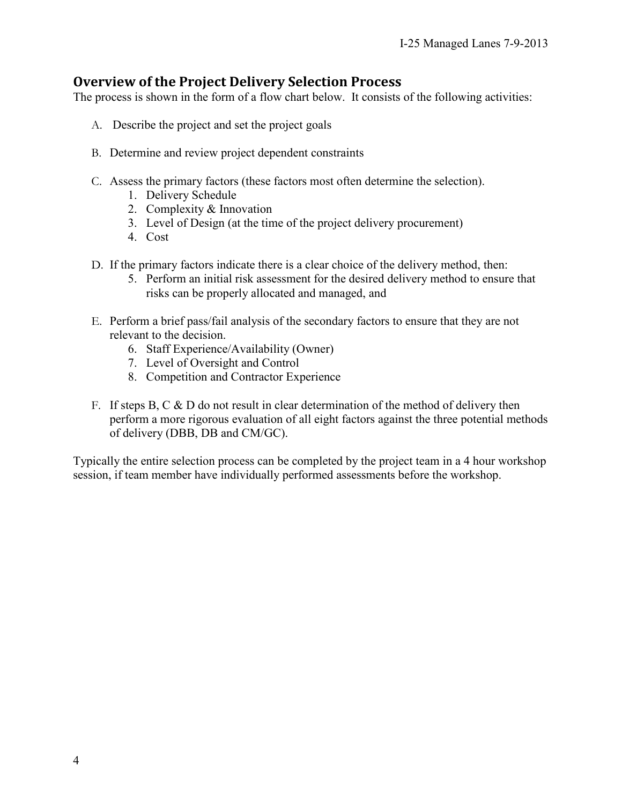### **Overview of the Project Delivery Selection Process**

The process is shown in the form of a flow chart below. It consists of the following activities:

- A. Describe the project and set the project goals
- B. Determine and review project dependent constraints
- C. Assess the primary factors (these factors most often determine the selection).
	- 1. Delivery Schedule
	- 2. Complexity & Innovation
	- 3. Level of Design (at the time of the project delivery procurement)
	- 4. Cost
- D. If the primary factors indicate there is a clear choice of the delivery method, then:
	- 5. Perform an initial risk assessment for the desired delivery method to ensure that risks can be properly allocated and managed, and
- E. Perform a brief pass/fail analysis of the secondary factors to ensure that they are not relevant to the decision.
	- 6. Staff Experience/Availability (Owner)
	- 7. Level of Oversight and Control
	- 8. Competition and Contractor Experience
- F. If steps B, C  $\&$  D do not result in clear determination of the method of delivery then perform a more rigorous evaluation of all eight factors against the three potential methods of delivery (DBB, DB and CM/GC).

Typically the entire selection process can be completed by the project team in a 4 hour workshop session, if team member have individually performed assessments before the workshop.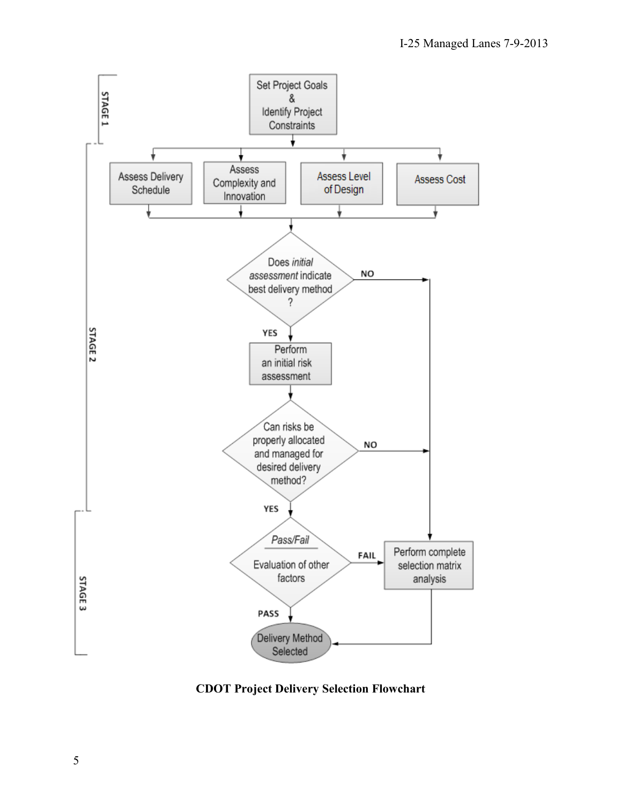

**CDOT Project Delivery Selection Flowchart**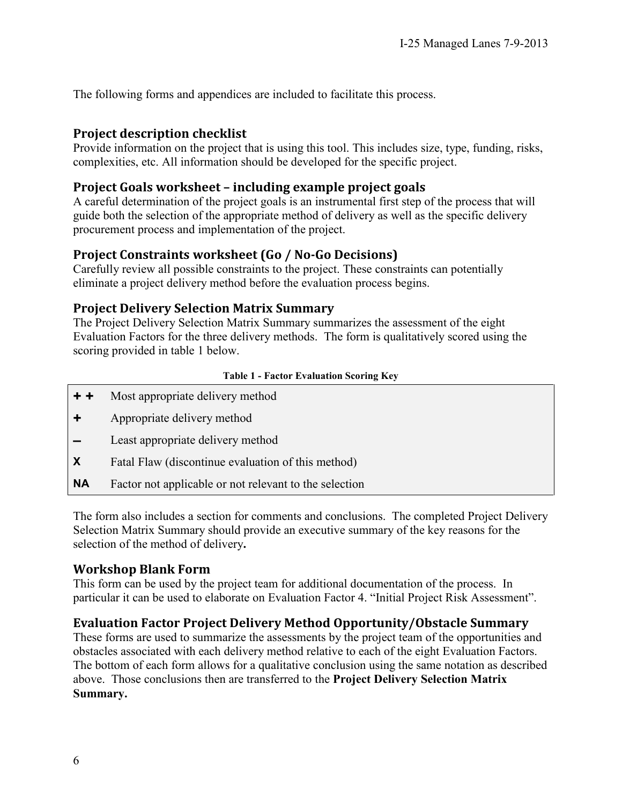The following forms and appendices are included to facilitate this process.

#### **Project description checklist**

Provide information on the project that is using this tool. This includes size, type, funding, risks, complexities, etc. All information should be developed for the specific project.

### **Project Goals worksheet – including example project goals**

A careful determination of the project goals is an instrumental first step of the process that will guide both the selection of the appropriate method of delivery as well as the specific delivery procurement process and implementation of the project.

### **Project Constraints worksheet (Go / No-Go Decisions)**

Carefully review all possible constraints to the project. These constraints can potentially eliminate a project delivery method before the evaluation process begins.

### **Project Delivery Selection Matrix Summary**

The Project Delivery Selection Matrix Summary summarizes the assessment of the eight Evaluation Factors for the three delivery methods. The form is qualitatively scored using the scoring provided in table 1 below.

#### **Table 1 - Factor Evaluation Scoring Key**

- **+ +** Most appropriate delivery method
- **+** Appropriate delivery method
- **–** Least appropriate delivery method
- **X** Fatal Flaw (discontinue evaluation of this method)
- **NA** Factor not applicable or not relevant to the selection

The form also includes a section for comments and conclusions.The completed Project Delivery Selection Matrix Summary should provide an executive summary of the key reasons for the selection of the method of delivery**.**

### **Workshop Blank Form**

This form can be used by the project team for additional documentation of the process. In particular it can be used to elaborate on Evaluation Factor 4. "Initial Project Risk Assessment".

### **Evaluation Factor Project Delivery Method Opportunity/Obstacle Summary**

These forms are used to summarize the assessments by the project team of the opportunities and obstacles associated with each delivery method relative to each of the eight Evaluation Factors. The bottom of each form allows for a qualitative conclusion using the same notation as described above. Those conclusions then are transferred to the **Project Delivery Selection Matrix Summary.**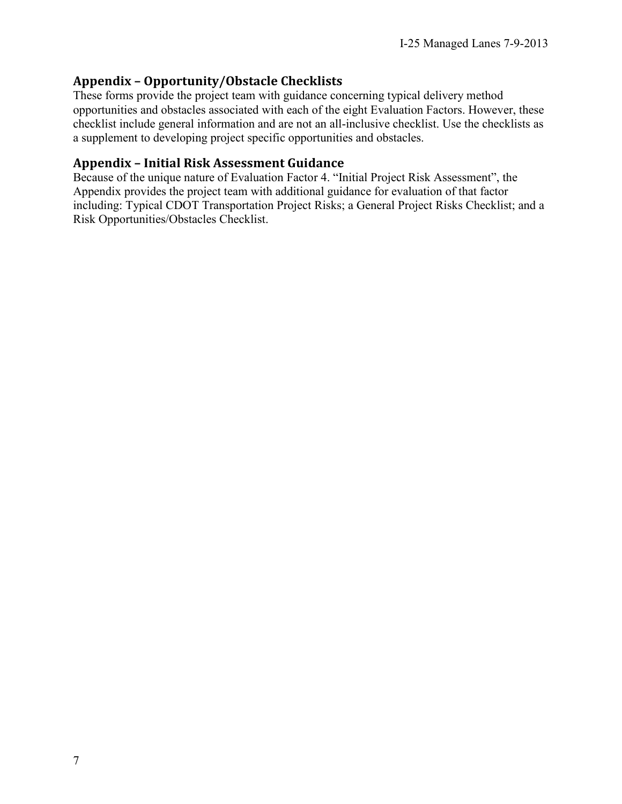### **Appendix – Opportunity/Obstacle Checklists**

These forms provide the project team with guidance concerning typical delivery method opportunities and obstacles associated with each of the eight Evaluation Factors. However, these checklist include general information and are not an all-inclusive checklist. Use the checklists as a supplement to developing project specific opportunities and obstacles.

### **Appendix – Initial Risk Assessment Guidance**

Because of the unique nature of Evaluation Factor 4. "Initial Project Risk Assessment", the Appendix provides the project team with additional guidance for evaluation of that factor including: Typical CDOT Transportation Project Risks; a General Project Risks Checklist; and a Risk Opportunities/Obstacles Checklist.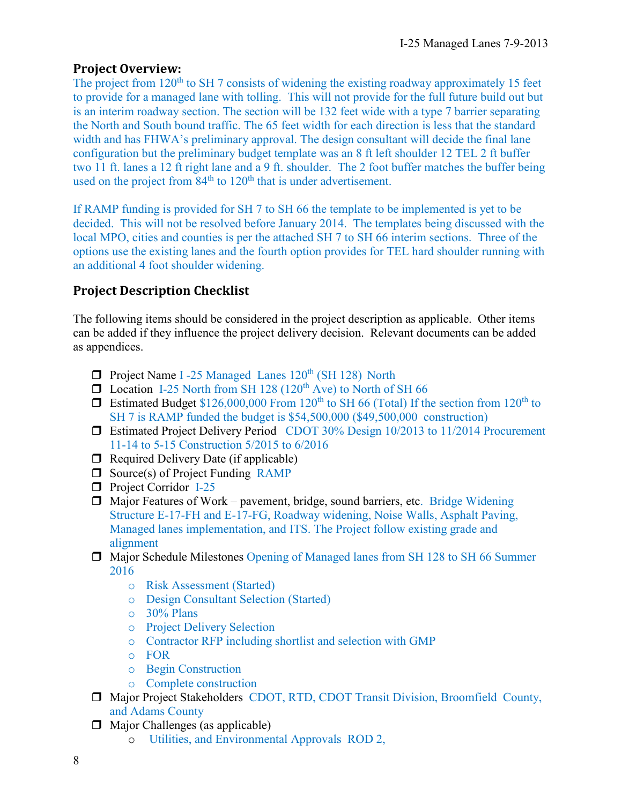### **Project Overview:**

The project from 120<sup>th</sup> to SH 7 consists of widening the existing roadway approximately 15 feet to provide for a managed lane with tolling. This will not provide for the full future build out but is an interim roadway section. The section will be 132 feet wide with a type 7 barrier separating the North and South bound traffic. The 65 feet width for each direction is less that the standard width and has FHWA's preliminary approval. The design consultant will decide the final lane configuration but the preliminary budget template was an 8 ft left shoulder 12 TEL 2 ft buffer two 11 ft. lanes a 12 ft right lane and a 9 ft. shoulder. The 2 foot buffer matches the buffer being used on the project from  $84<sup>th</sup>$  to  $120<sup>th</sup>$  that is under advertisement.

If RAMP funding is provided for SH 7 to SH 66 the template to be implemented is yet to be decided. This will not be resolved before January 2014. The templates being discussed with the local MPO, cities and counties is per the attached SH 7 to SH 66 interim sections. Three of the options use the existing lanes and the fourth option provides for TEL hard shoulder running with an additional 4 foot shoulder widening.

### **Project Description Checklist**

The following items should be considered in the project description as applicable. Other items can be added if they influence the project delivery decision. Relevant documents can be added as appendices.

- □ Project Name I -25 Managed Lanes 120<sup>th</sup> (SH 128) North
- $\Box$  Location I-25 North from SH 128 (120<sup>th</sup> Ave) to North of SH 66
- **Estimated Budget \$126,000,000 From 120<sup>th</sup> to SH 66 (Total) If the section from 120<sup>th</sup> to** SH 7 is RAMP funded the budget is \$54,500,000 (\$49,500,000 construction)
- Estimated Project Delivery Period CDOT 30% Design 10/2013 to 11/2014 Procurement 11-14 to 5-15 Construction 5/2015 to 6/2016
- $\Box$  Required Delivery Date (if applicable)
- $\Box$  Source(s) of Project Funding RAMP
- **D** Project Corridor I-25
- $\Box$  Major Features of Work pavement, bridge, sound barriers, etc. Bridge Widening Structure E-17-FH and E-17-FG, Roadway widening, Noise Walls, Asphalt Paving, Managed lanes implementation, and ITS. The Project follow existing grade and alignment
- Major Schedule Milestones Opening of Managed lanes from SH 128 to SH 66 Summer 2016
	- o Risk Assessment (Started)
	- o Design Consultant Selection (Started)
	- o 30% Plans
	- o Project Delivery Selection
	- o Contractor RFP including shortlist and selection with GMP
	- o FOR
	- o Begin Construction
	- o Complete construction
- Major Project Stakeholders CDOT, RTD, CDOT Transit Division, Broomfield County, and Adams County
- $\Box$  Major Challenges (as applicable)
	- o Utilities, and Environmental Approvals ROD 2,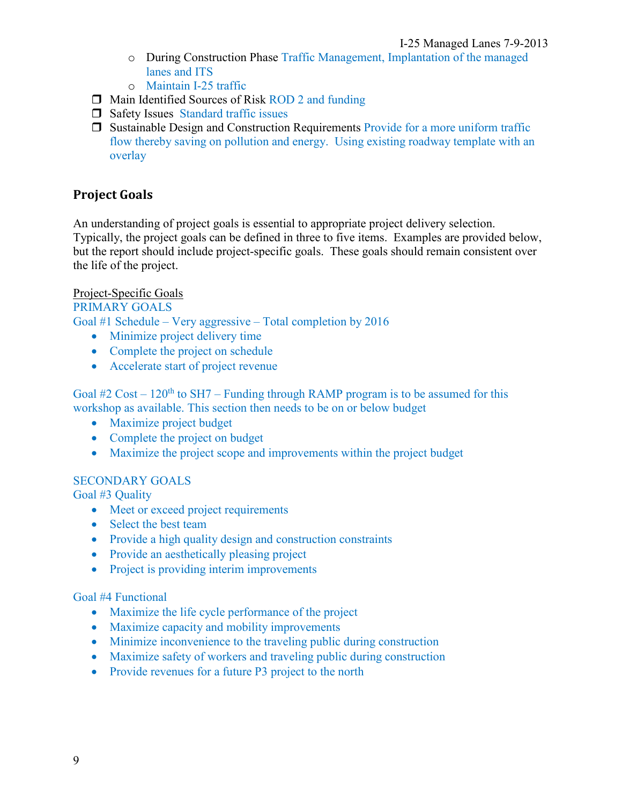- o During Construction Phase Traffic Management, Implantation of the managed lanes and ITS
- o Maintain I-25 traffic
- $\Box$  Main Identified Sources of Risk ROD 2 and funding
- $\Box$  Safety Issues Standard traffic issues
- $\Box$  Sustainable Design and Construction Requirements Provide for a more uniform traffic flow thereby saving on pollution and energy. Using existing roadway template with an overlay

### **Project Goals**

An understanding of project goals is essential to appropriate project delivery selection. Typically, the project goals can be defined in three to five items. Examples are provided below, but the report should include project-specific goals. These goals should remain consistent over the life of the project.

#### Project-Specific Goals

PRIMARY GOALS Goal #1 Schedule – Very aggressive – Total completion by 2016

- Minimize project delivery time
- Complete the project on schedule
- Accelerate start of project revenue

Goal #2 Cost –  $120<sup>th</sup>$  to SH7 – Funding through RAMP program is to be assumed for this workshop as available. This section then needs to be on or below budget

- Maximize project budget
- Complete the project on budget
- Maximize the project scope and improvements within the project budget

#### SECONDARY GOALS

Goal #3 Quality

- Meet or exceed project requirements
- Select the best team
- Provide a high quality design and construction constraints
- Provide an aesthetically pleasing project
- Project is providing interim improvements

#### Goal #4 Functional

- Maximize the life cycle performance of the project
- Maximize capacity and mobility improvements
- Minimize inconvenience to the traveling public during construction
- Maximize safety of workers and traveling public during construction
- Provide revenues for a future P3 project to the north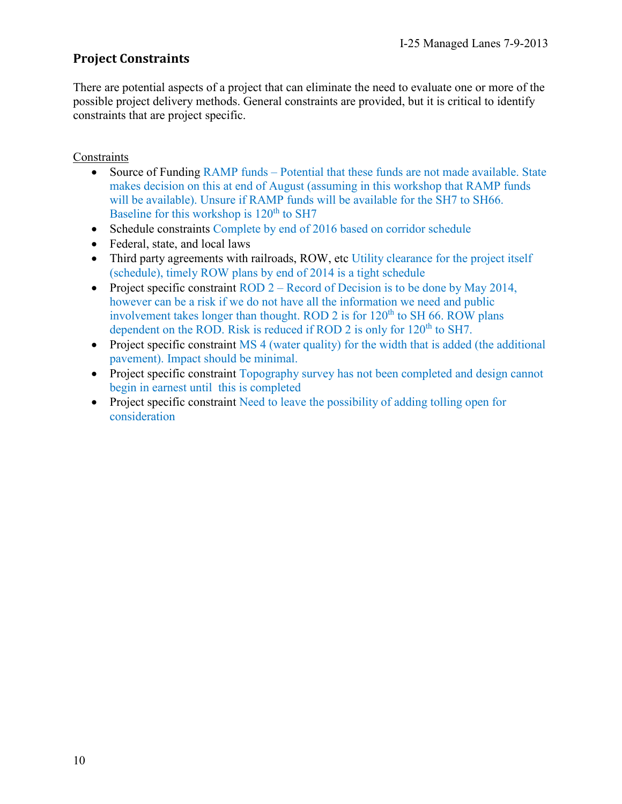### **Project Constraints**

There are potential aspects of a project that can eliminate the need to evaluate one or more of the possible project delivery methods. General constraints are provided, but it is critical to identify constraints that are project specific.

#### **Constraints**

- Source of Funding RAMP funds Potential that these funds are not made available. State makes decision on this at end of August (assuming in this workshop that RAMP funds will be available). Unsure if RAMP funds will be available for the SH7 to SH66. Baseline for this workshop is  $120<sup>th</sup>$  to SH7
- Schedule constraints Complete by end of 2016 based on corridor schedule
- Federal, state, and local laws
- Third party agreements with railroads, ROW, etc Utility clearance for the project itself (schedule), timely ROW plans by end of 2014 is a tight schedule
- Project specific constraint ROD  $2 -$  Record of Decision is to be done by May 2014, however can be a risk if we do not have all the information we need and public involvement takes longer than thought. ROD 2 is for  $120<sup>th</sup>$  to SH 66. ROW plans dependent on the ROD. Risk is reduced if ROD 2 is only for  $120<sup>th</sup>$  to SH7.
- Project specific constraint MS 4 (water quality) for the width that is added (the additional pavement). Impact should be minimal.
- Project specific constraint Topography survey has not been completed and design cannot begin in earnest until this is completed
- Project specific constraint Need to leave the possibility of adding tolling open for consideration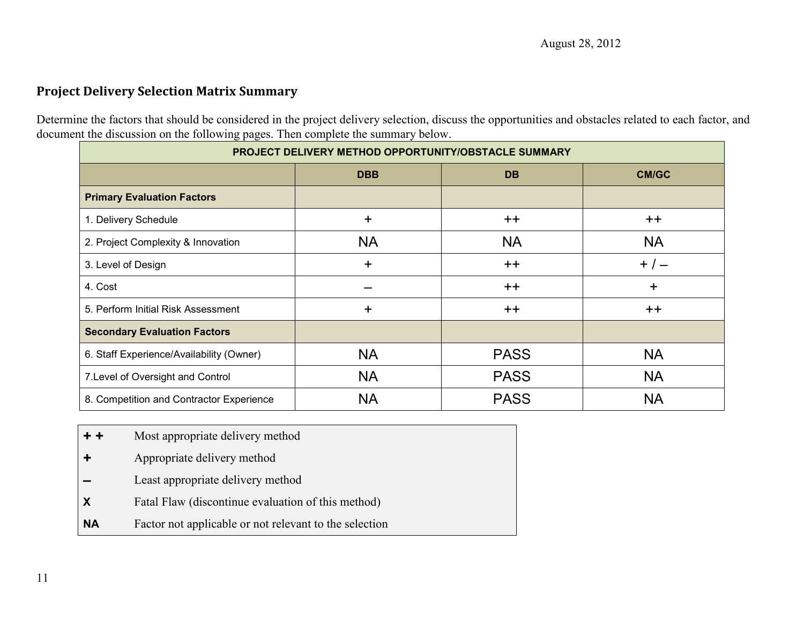### **Project Delivery Selection Matrix Summary**

Determine the factors that should be considered in the project delivery selection, discuss the opportunities and obstacles related to each factor, and document the discussion on the following pages. Then complete the summary below.

| PROJECT DELIVERY METHOD OPPORTUNITY/OBSTACLE SUMMARY |            |             |           |
|------------------------------------------------------|------------|-------------|-----------|
|                                                      | <b>DBB</b> | <b>DB</b>   | CM/GC     |
| <b>Primary Evaluation Factors</b>                    |            |             |           |
| 1. Delivery Schedule                                 | +          | $++$        | $++$      |
| 2. Project Complexity & Innovation                   | <b>NA</b>  | <b>NA</b>   | <b>NA</b> |
| 3. Level of Design                                   | +          | $++$        | $+/-$     |
| 4. Cost                                              |            | $++$        | +         |
| 5. Perform Initial Risk Assessment                   | +          | $++$        | $++$      |
| <b>Secondary Evaluation Factors</b>                  |            |             |           |
| 6. Staff Experience/Availability (Owner)             | <b>NA</b>  | <b>PASS</b> | <b>NA</b> |
| 7. Level of Oversight and Control                    | <b>NA</b>  | <b>PASS</b> | <b>NA</b> |
| 8. Competition and Contractor Experience             | <b>NA</b>  | <b>PASS</b> | <b>NA</b> |

- **+ +** Most appropriate delivery method
- **+** Appropriate delivery method
- **–** Least appropriate delivery method
- **X** Fatal Flaw (discontinue evaluation of this method)
- **NA** Factor not applicable or not relevant to the selection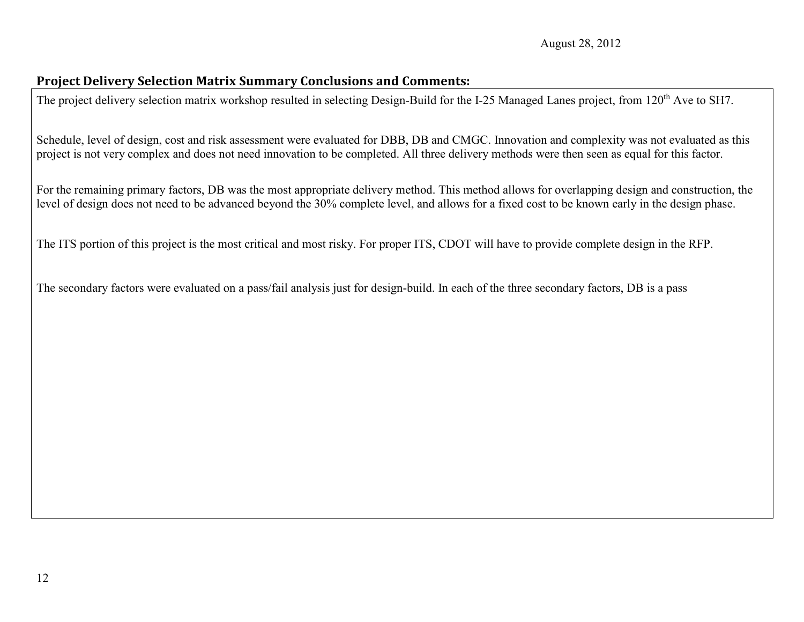### **Project Delivery Selection Matrix Summary Conclusions and Comments:**

The project delivery selection matrix workshop resulted in selecting Design-Build for the I-25 Managed Lanes project, from 120<sup>th</sup> Ave to SH7.

Schedule, level of design, cost and risk assessment were evaluated for DBB, DB and CMGC. Innovation and complexity was not evaluated as this project is not very complex and does not need innovation to be completed. All three delivery methods were then seen as equal for this factor.

For the remaining primary factors, DB was the most appropriate delivery method. This method allows for overlapping design and construction, the level of design does not need to be advanced beyond the 30% complete level, and allows for a fixed cost to be known early in the design phase.

The ITS portion of this project is the most critical and most risky. For proper ITS, CDOT will have to provide complete design in the RFP.

The secondary factors were evaluated on a pass/fail analysis just for design-build. In each of the three secondary factors, DB is a pass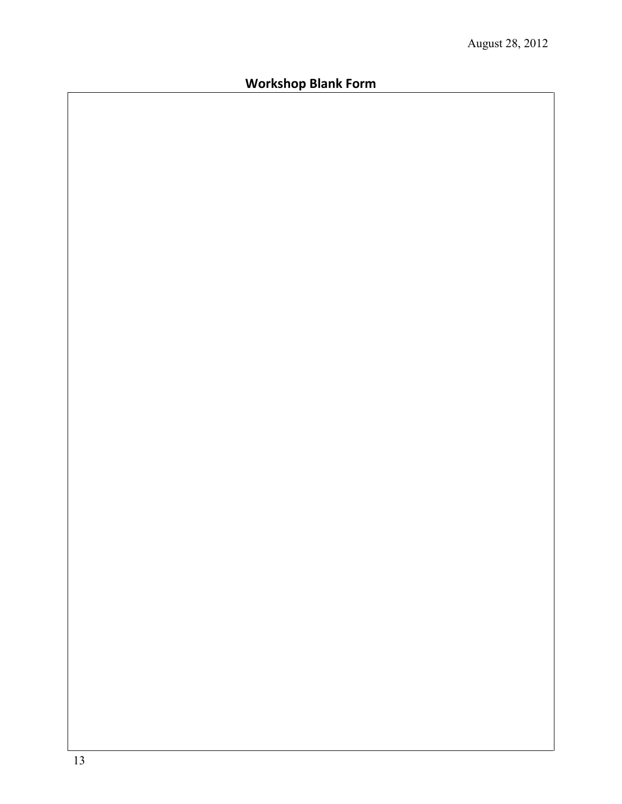# **Workshop Blank Form**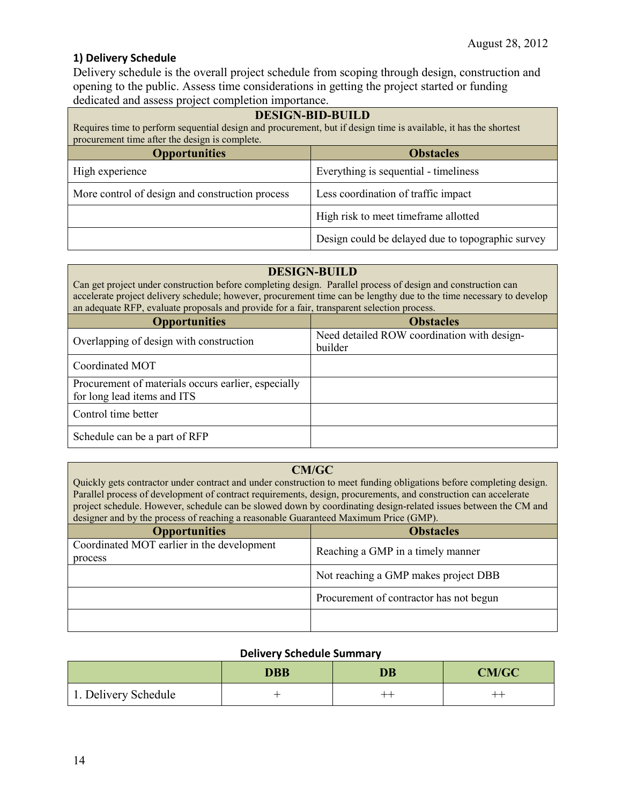#### **1) Delivery Schedule**

Delivery schedule is the overall project schedule from scoping through design, construction and opening to the public. Assess time considerations in getting the project started or funding dedicated and assess project completion importance.

| <b>DESIGN-BID-BUILD</b><br>Requires time to perform sequential design and procurement, but if design time is available, it has the shortest<br>procurement time after the design is complete. |                                                   |  |
|-----------------------------------------------------------------------------------------------------------------------------------------------------------------------------------------------|---------------------------------------------------|--|
| <b>Opportunities</b><br><b>Obstacles</b>                                                                                                                                                      |                                                   |  |
| High experience                                                                                                                                                                               | Everything is sequential - timeliness             |  |
| More control of design and construction process                                                                                                                                               | Less coordination of traffic impact               |  |
|                                                                                                                                                                                               | High risk to meet time frame allotted             |  |
|                                                                                                                                                                                               | Design could be delayed due to topographic survey |  |

#### **DESIGN-BUILD**

Can get project under construction before completing design. Parallel process of design and construction can accelerate project delivery schedule; however, procurement time can be lengthy due to the time necessary to develop an adequate RFP, evaluate proposals and provide for a fair, transparent selection process.

| <b>Opportunities</b>                                | <b>Obstacles</b>                            |
|-----------------------------------------------------|---------------------------------------------|
| Overlapping of design with construction             | Need detailed ROW coordination with design- |
|                                                     | builder                                     |
| Coordinated MOT                                     |                                             |
| Procurement of materials occurs earlier, especially |                                             |
| for long lead items and ITS                         |                                             |
| Control time better                                 |                                             |
| Schedule can be a part of RFP                       |                                             |

#### **CM/GC**

Quickly gets contractor under contract and under construction to meet funding obligations before completing design. Parallel process of development of contract requirements, design, procurements, and construction can accelerate project schedule. However, schedule can be slowed down by coordinating design-related issues between the CM and designer and by the process of reaching a reasonable Guaranteed Maximum Price (GMP).

| <b>Opportunities</b>                       | <b>Obstacles</b>                        |
|--------------------------------------------|-----------------------------------------|
| Coordinated MOT earlier in the development | Reaching a GMP in a timely manner       |
| process                                    |                                         |
|                                            | Not reaching a GMP makes project DBB    |
|                                            | Procurement of contractor has not begun |
|                                            |                                         |

#### **Delivery Schedule Summary**

|                      | <b>DBB</b> | <b>DB</b> | <b>CM/GC</b> |
|----------------------|------------|-----------|--------------|
| 1. Delivery Schedule |            | ---       | $-++$        |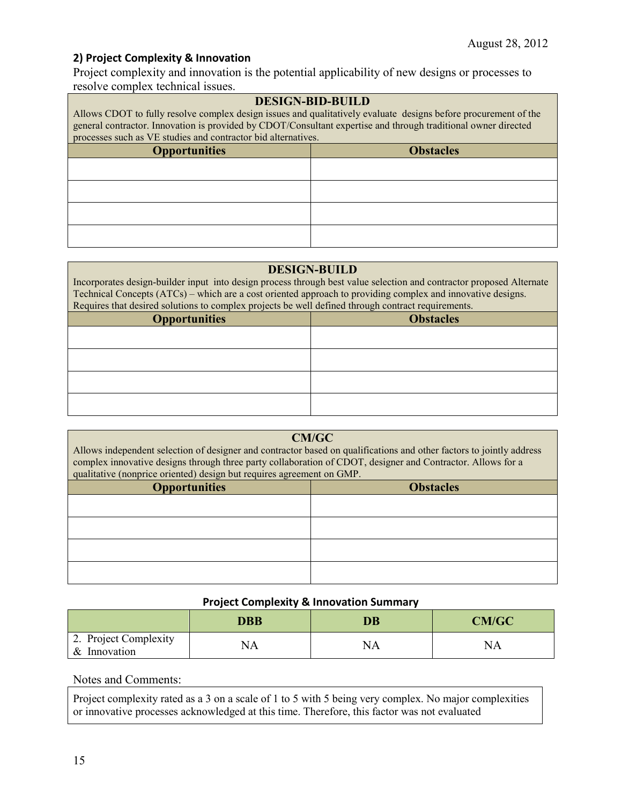#### **2) Project Complexity & Innovation**

Project complexity and innovation is the potential applicability of new designs or processes to resolve complex technical issues.

# **DESIGN-BID-BUILD** Allows CDOT to fully resolve complex design issues and qualitatively evaluate designs before procurement of the general contractor. Innovation is provided by CDOT/Consultant expertise and through traditional owner directed processes such as VE studies and contractor bid alternatives. **Opportunities Obstacles**

#### **DESIGN-BUILD**

Incorporates design-builder input into design process through best value selection and contractor proposed Alternate Technical Concepts (ATCs) – which are a cost oriented approach to providing complex and innovative designs. Requires that desired solutions to complex projects be well defined through contract requirements.

| <b>Opportunities</b> | <b>Obstacles</b> |
|----------------------|------------------|
|                      |                  |
|                      |                  |
|                      |                  |
|                      |                  |

#### **CM/GC**

Allows independent selection of designer and contractor based on qualifications and other factors to jointly address complex innovative designs through three party collaboration of CDOT, designer and Contractor. Allows for a qualitative (nonprice oriented) design but requires agreement on GMP.

| <b>Opportunities</b> | <b>Obstacles</b> |
|----------------------|------------------|
|                      |                  |
|                      |                  |
|                      |                  |
|                      |                  |

#### **Project Complexity & Innovation Summary**

|                                       | <b>DBB</b> | DB | CM/GC |
|---------------------------------------|------------|----|-------|
| 2. Project Complexity<br>& Innovation | ٧A         | NA | NA    |

Notes and Comments:

Project complexity rated as a 3 on a scale of 1 to 5 with 5 being very complex. No major complexities or innovative processes acknowledged at this time. Therefore, this factor was not evaluated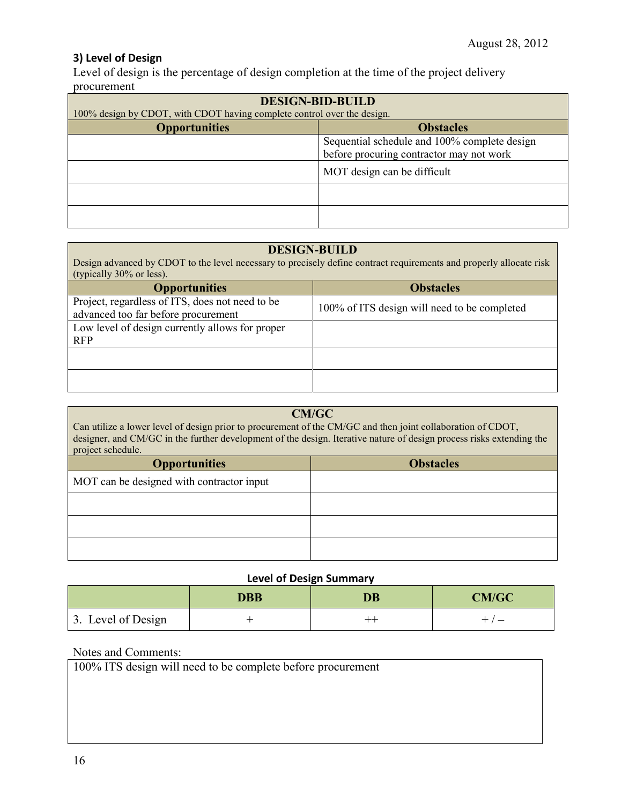#### **3) Level of Design**

Level of design is the percentage of design completion at the time of the project delivery procurement

| <b>DESIGN-BID-BUILD</b><br>100% design by CDOT, with CDOT having complete control over the design. |                                                                                          |  |
|----------------------------------------------------------------------------------------------------|------------------------------------------------------------------------------------------|--|
| <b>Opportunities</b><br><b>Obstacles</b>                                                           |                                                                                          |  |
|                                                                                                    | Sequential schedule and 100% complete design<br>before procuring contractor may not work |  |
| MOT design can be difficult                                                                        |                                                                                          |  |
|                                                                                                    |                                                                                          |  |
|                                                                                                    |                                                                                          |  |

#### **DESIGN-BUILD**

Design advanced by CDOT to the level necessary to precisely define contract requirements and properly allocate risk (typically 30% or less).

| <b>Opportunities</b>                                                                   | <b>Obstacles</b>                             |
|----------------------------------------------------------------------------------------|----------------------------------------------|
| Project, regardless of ITS, does not need to be<br>advanced too far before procurement | 100% of ITS design will need to be completed |
| Low level of design currently allows for proper<br><b>RFP</b>                          |                                              |
|                                                                                        |                                              |
|                                                                                        |                                              |

#### **CM/GC**

Can utilize a lower level of design prior to procurement of the CM/GC and then joint collaboration of CDOT, designer, and CM/GC in the further development of the design. Iterative nature of design process risks extending the project schedule.

| <b>Opportunities</b>                      | <b>Obstacles</b> |
|-------------------------------------------|------------------|
| MOT can be designed with contractor input |                  |
|                                           |                  |
|                                           |                  |
|                                           |                  |

#### **Level of Design Summary**

|                    | DBB | <b>DB</b> | CM/GC                    |
|--------------------|-----|-----------|--------------------------|
| 3. Level of Design |     | ---       | $\overline{\phantom{a}}$ |

#### Notes and Comments:

100% ITS design will need to be complete before procurement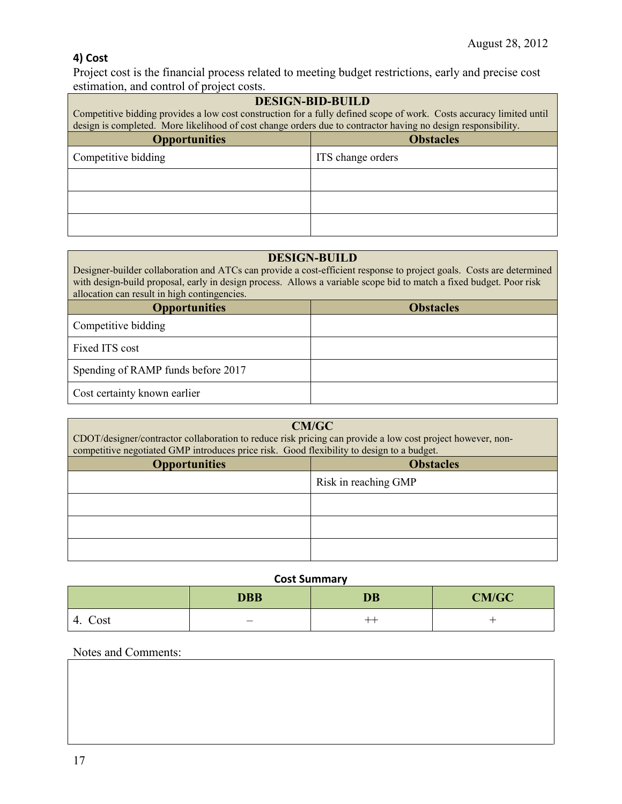### **4) Cost**

Project cost is the financial process related to meeting budget restrictions, early and precise cost estimation, and control of project costs.

| <b>DESIGN-BID-BUILD</b><br>Competitive bidding provides a low cost construction for a fully defined scope of work. Costs accuracy limited until<br>design is completed. More likelihood of cost change orders due to contractor having no design responsibility. |                   |
|------------------------------------------------------------------------------------------------------------------------------------------------------------------------------------------------------------------------------------------------------------------|-------------------|
| <b>Opportunities</b><br><b>Obstacles</b>                                                                                                                                                                                                                         |                   |
| Competitive bidding                                                                                                                                                                                                                                              | ITS change orders |
|                                                                                                                                                                                                                                                                  |                   |
|                                                                                                                                                                                                                                                                  |                   |
|                                                                                                                                                                                                                                                                  |                   |

| <b>DESIGN-BUILD</b><br>Designer-builder collaboration and ATCs can provide a cost-efficient response to project goals. Costs are determined<br>with design-build proposal, early in design process. Allows a variable scope bid to match a fixed budget. Poor risk<br>allocation can result in high contingencies. |  |
|--------------------------------------------------------------------------------------------------------------------------------------------------------------------------------------------------------------------------------------------------------------------------------------------------------------------|--|
| <b>Opportunities</b><br><b>Obstacles</b>                                                                                                                                                                                                                                                                           |  |
| Competitive bidding                                                                                                                                                                                                                                                                                                |  |
| Fixed ITS cost                                                                                                                                                                                                                                                                                                     |  |
| Spending of RAMP funds before 2017                                                                                                                                                                                                                                                                                 |  |
| Cost certainty known earlier                                                                                                                                                                                                                                                                                       |  |

| CM/GC<br>CDOT/designer/contractor collaboration to reduce risk pricing can provide a low cost project however, non-<br>competitive negotiated GMP introduces price risk. Good flexibility to design to a budget. |                      |
|------------------------------------------------------------------------------------------------------------------------------------------------------------------------------------------------------------------|----------------------|
| <b>Opportunities</b><br><b>Obstacles</b>                                                                                                                                                                         |                      |
|                                                                                                                                                                                                                  | Risk in reaching GMP |
|                                                                                                                                                                                                                  |                      |
|                                                                                                                                                                                                                  |                      |
|                                                                                                                                                                                                                  |                      |

#### **Cost Summary**

|            | <b>DBB</b>               | <b>DB</b> | <b>CM/GC</b> |
|------------|--------------------------|-----------|--------------|
| Cost<br>4. | $\overline{\phantom{a}}$ | ---       |              |

### Notes and Comments: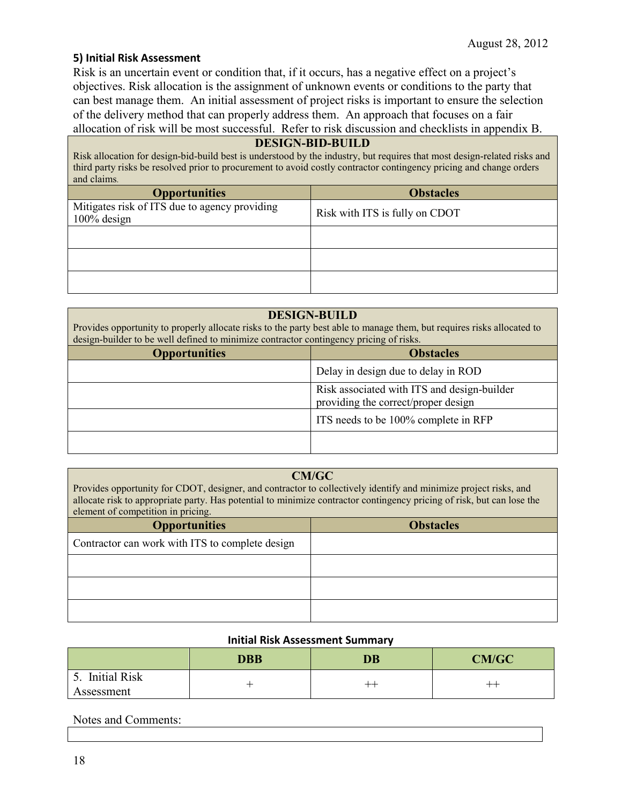#### **5) Initial Risk Assessment**

Risk is an uncertain event or condition that, if it occurs, has a negative effect on a project's objectives. Risk allocation is the assignment of unknown events or conditions to the party that can best manage them. An initial assessment of project risks is important to ensure the selection of the delivery method that can properly address them. An approach that focuses on a fair allocation of risk will be most successful. Refer to risk discussion and checklists in appendix B.

#### **DESIGN-BID-BUILD**

Risk allocation for design-bid-build best is understood by the industry, but requires that most design-related risks and third party risks be resolved prior to procurement to avoid costly contractor contingency pricing and change orders and claims.

| <b>Opportunities</b>                                         | <b>Obstacles</b>               |
|--------------------------------------------------------------|--------------------------------|
| Mitigates risk of ITS due to agency providing<br>100% design | Risk with ITS is fully on CDOT |
|                                                              |                                |
|                                                              |                                |
|                                                              |                                |

#### **DESIGN-BUILD**

Provides opportunity to properly allocate risks to the party best able to manage them, but requires risks allocated to design-builder to be well defined to minimize contractor contingency pricing of risks.

| <b>Opportunities</b> | <b>Obstacles</b>                                                                   |
|----------------------|------------------------------------------------------------------------------------|
|                      | Delay in design due to delay in ROD                                                |
|                      | Risk associated with ITS and design-builder<br>providing the correct/proper design |
|                      | ITS needs to be 100% complete in RFP                                               |
|                      |                                                                                    |

#### **CM/GC**

Provides opportunity for CDOT, designer, and contractor to collectively identify and minimize project risks, and allocate risk to appropriate party. Has potential to minimize contractor contingency pricing of risk, but can lose the element of competition in pricing.

| <b>Opportunities</b>                            | <b>Obstacles</b> |
|-------------------------------------------------|------------------|
| Contractor can work with ITS to complete design |                  |
|                                                 |                  |
|                                                 |                  |
|                                                 |                  |

#### **Initial Risk Assessment Summary**

|                               | <b>DBB</b> | <b>DB</b> | <b>CM/GC</b> |
|-------------------------------|------------|-----------|--------------|
| 5. Initial Risk<br>Assessment |            | ᆠ         |              |

#### Notes and Comments: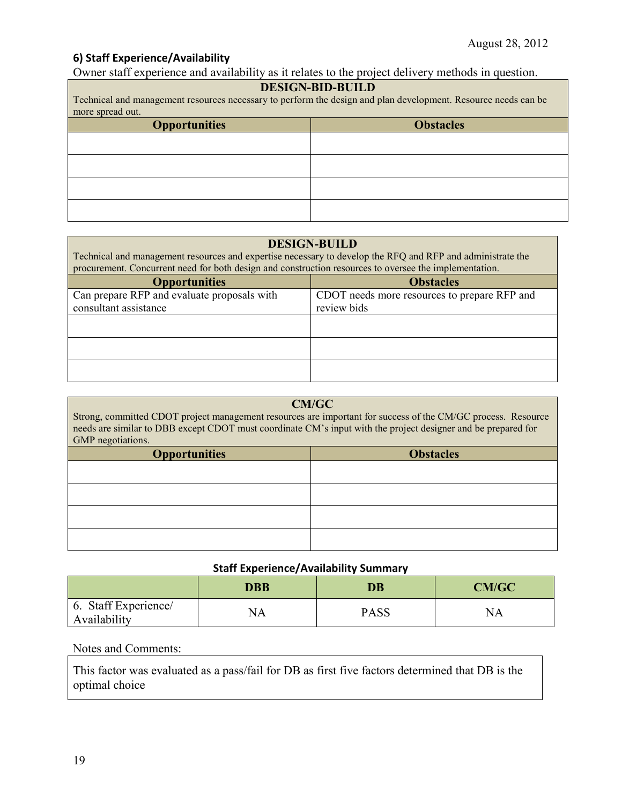#### **6) Staff Experience/Availability**

Owner staff experience and availability as it relates to the project delivery methods in question.

#### **DESIGN-BID-BUILD**

Technical and management resources necessary to perform the design and plan development. Resource needs can be more spread out.

| <b>Opportunities</b> | <b>Obstacles</b> |
|----------------------|------------------|
|                      |                  |
|                      |                  |
|                      |                  |
|                      |                  |

#### **DESIGN-BUILD**

| Technical and management resources and expertise necessary to develop the RFQ and RFP and administrate the<br>procurement. Concurrent need for both design and construction resources to oversee the implementation. |                                                             |  |
|----------------------------------------------------------------------------------------------------------------------------------------------------------------------------------------------------------------------|-------------------------------------------------------------|--|
| <b>Opportunities</b><br><b>Obstacles</b>                                                                                                                                                                             |                                                             |  |
| Can prepare RFP and evaluate proposals with<br>consultant assistance                                                                                                                                                 | CDOT needs more resources to prepare RFP and<br>review bids |  |
|                                                                                                                                                                                                                      |                                                             |  |
|                                                                                                                                                                                                                      |                                                             |  |
|                                                                                                                                                                                                                      |                                                             |  |

# **CM/GC**

Strong, committed CDOT project management resources are important for success of the CM/GC process. Resource needs are similar to DBB except CDOT must coordinate CM's input with the project designer and be prepared for GMP negotiations.

| <b>Opportunities</b> | <b>Obstacles</b> |
|----------------------|------------------|
|                      |                  |
|                      |                  |
|                      |                  |
|                      |                  |

#### **Staff Experience/Availability Summary**

|                                      | <b>DBB</b> | DB   | CM/GC |
|--------------------------------------|------------|------|-------|
| 6. Staff Experience/<br>Availability | NA         | PASS | NA    |

#### Notes and Comments:

This factor was evaluated as a pass/fail for DB as first five factors determined that DB is the optimal choice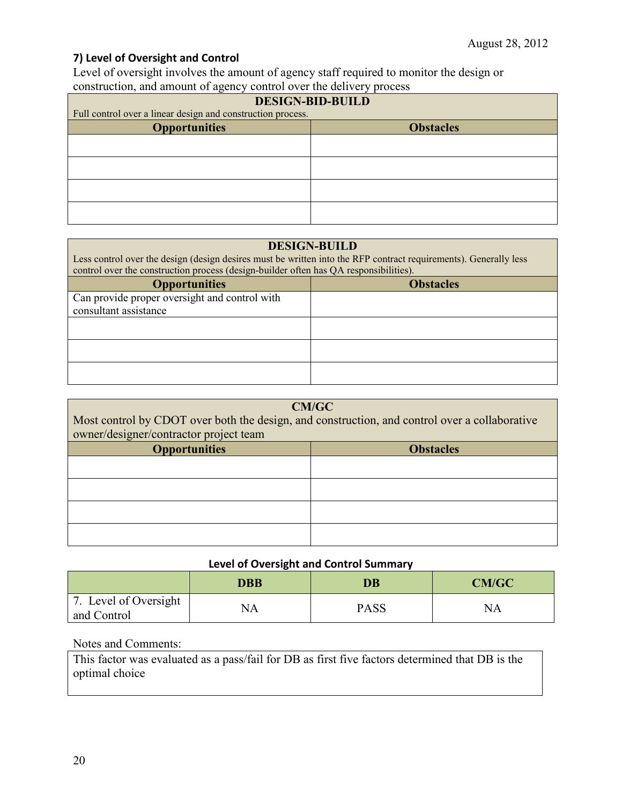#### **7) Level of Oversight and Control**

Level of oversight involves the amount of agency staff required to monitor the design or construction, and amount of agency control over the delivery process

| <b>DESIGN-BID-BUILD</b>                                     |  |  |
|-------------------------------------------------------------|--|--|
| Full control over a linear design and construction process. |  |  |
| <b>Opportunities</b><br><b>Obstacles</b>                    |  |  |
|                                                             |  |  |
|                                                             |  |  |
|                                                             |  |  |
|                                                             |  |  |

#### **DESIGN-BUILD**

Less control over the design (design desires must be written into the RFP contract requirements). Generally less control over the construction process (design-builder often has QA responsibilities). **Opportunities Obstacles**

| <b>Opportunities</b>                          | <b>ODStacies</b> |
|-----------------------------------------------|------------------|
| Can provide proper oversight and control with |                  |
| consultant assistance                         |                  |
|                                               |                  |
|                                               |                  |
|                                               |                  |
|                                               |                  |
|                                               |                  |
|                                               |                  |

| CM/GC<br>Most control by CDOT over both the design, and construction, and control over a collaborative<br>owner/designer/contractor project team |  |  |
|--------------------------------------------------------------------------------------------------------------------------------------------------|--|--|
| <b>Obstacles</b><br><b>Opportunities</b>                                                                                                         |  |  |
|                                                                                                                                                  |  |  |
|                                                                                                                                                  |  |  |
|                                                                                                                                                  |  |  |
|                                                                                                                                                  |  |  |

#### **Level of Oversight and Control Summary**

|                                      | <b>DBB</b> | DB          | <b>CM/GC</b> |
|--------------------------------------|------------|-------------|--------------|
| 7. Level of Oversight<br>and Control | NA         | <b>PASS</b> | <b>NA</b>    |

#### Notes and Comments:

This factor was evaluated as a pass/fail for DB as first five factors determined that DB is the optimal choice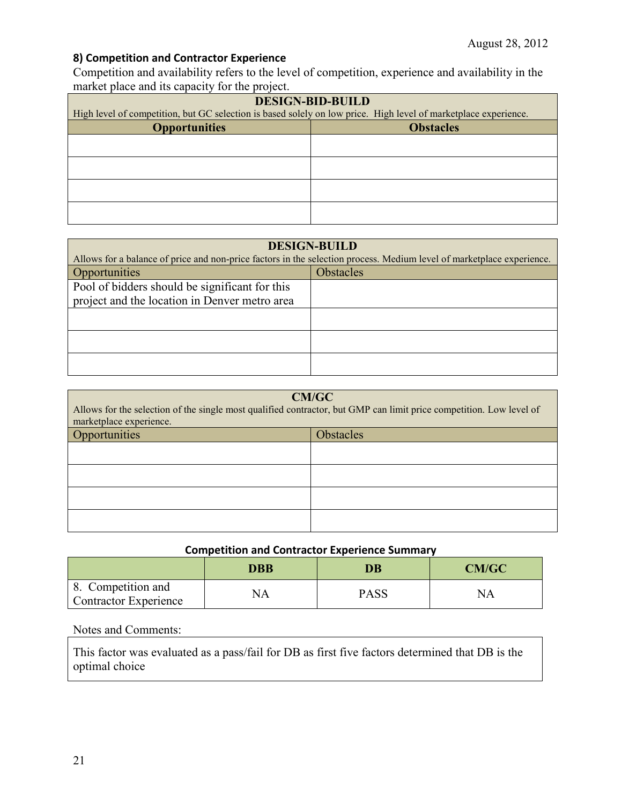### **8) Competition and Contractor Experience**

Competition and availability refers to the level of competition, experience and availability in the market place and its capacity for the project.

| <b>DESIGN-BID-BUILD</b>                                                                                         |  |  |
|-----------------------------------------------------------------------------------------------------------------|--|--|
| High level of competition, but GC selection is based solely on low price. High level of marketplace experience. |  |  |
| <b>Opportunities</b><br><b>Obstacles</b>                                                                        |  |  |
|                                                                                                                 |  |  |
|                                                                                                                 |  |  |
|                                                                                                                 |  |  |
|                                                                                                                 |  |  |
|                                                                                                                 |  |  |
|                                                                                                                 |  |  |
|                                                                                                                 |  |  |
|                                                                                                                 |  |  |

| <b>DESIGN-BUILD</b>                                                                                                   |                  |  |
|-----------------------------------------------------------------------------------------------------------------------|------------------|--|
| Allows for a balance of price and non-price factors in the selection process. Medium level of marketplace experience. |                  |  |
| Opportunities                                                                                                         | <b>Obstacles</b> |  |
| Pool of bidders should be significant for this                                                                        |                  |  |
| project and the location in Denver metro area                                                                         |                  |  |
|                                                                                                                       |                  |  |
|                                                                                                                       |                  |  |
|                                                                                                                       |                  |  |
|                                                                                                                       |                  |  |
|                                                                                                                       |                  |  |

| <b>CM/GC</b><br>Allows for the selection of the single most qualified contractor, but GMP can limit price competition. Low level of<br>marketplace experience. |  |  |
|----------------------------------------------------------------------------------------------------------------------------------------------------------------|--|--|
| Opportunities<br><b>Obstacles</b>                                                                                                                              |  |  |
|                                                                                                                                                                |  |  |
|                                                                                                                                                                |  |  |
|                                                                                                                                                                |  |  |
|                                                                                                                                                                |  |  |

### **Competition and Contractor Experience Summary**

|                                                    | <b>DBB</b> | $\overline{\mathbf{D}}\mathbf{B}$ | <b>CM/GC</b> |
|----------------------------------------------------|------------|-----------------------------------|--------------|
| 8. Competition and<br><b>Contractor Experience</b> | NΑ         | <b>PASS</b>                       |              |

#### Notes and Comments:

This factor was evaluated as a pass/fail for DB as first five factors determined that DB is the optimal choice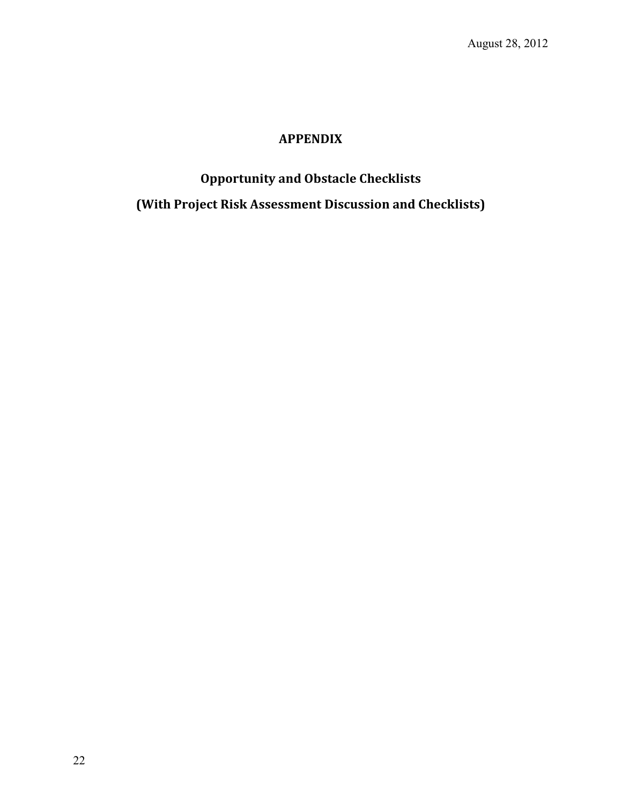### **APPENDIX**

# **Opportunity and Obstacle Checklists (With Project Risk Assessment Discussion and Checklists)**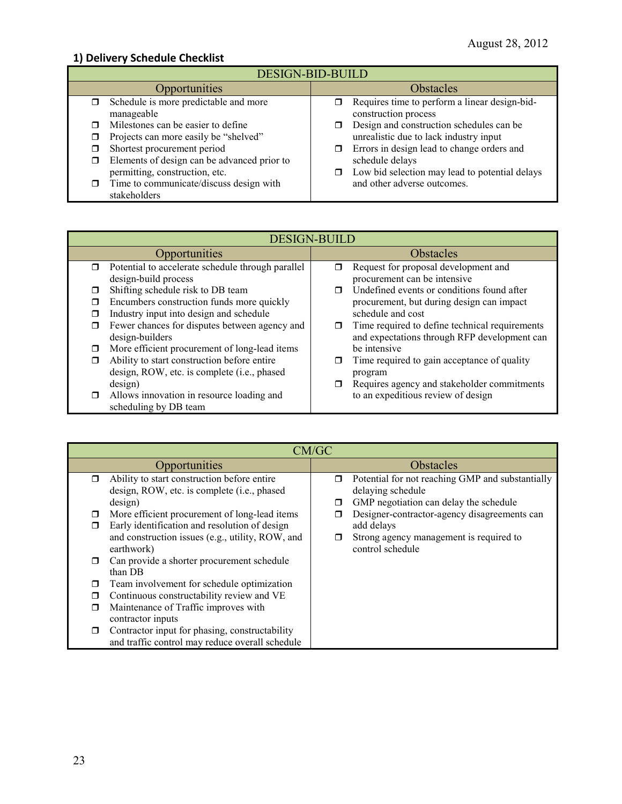### **1) Delivery Schedule Checklist**

| <b>DESIGN-BID-BUILD</b>                                                                   |                                                                                    |  |
|-------------------------------------------------------------------------------------------|------------------------------------------------------------------------------------|--|
| Opportunities                                                                             | <b>Obstacles</b>                                                                   |  |
| Schedule is more predictable and more<br>manageable                                       | Requires time to perform a linear design-bid-<br>ο.<br>construction process        |  |
| Milestones can be easier to define<br>Projects can more easily be "shelved"               | Design and construction schedules can be<br>unrealistic due to lack industry input |  |
| Shortest procurement period<br>Elements of design can be advanced prior to                | Errors in design lead to change orders and<br>π.<br>schedule delays                |  |
| permitting, construction, etc.<br>Time to communicate/discuss design with<br>stakeholders | Low bid selection may lead to potential delays<br>and other adverse outcomes.      |  |

| <b>DESIGN-BUILD</b>                                         |                                                     |  |
|-------------------------------------------------------------|-----------------------------------------------------|--|
| Opportunities                                               | <b>Obstacles</b>                                    |  |
| Potential to accelerate schedule through parallel<br>$\Box$ | Request for proposal development and<br>⊓           |  |
| design-build process                                        | procurement can be intensive                        |  |
| Shifting schedule risk to DB team                           | Undefined events or conditions found after          |  |
| Encumbers construction funds more quickly                   | procurement, but during design can impact           |  |
| Industry input into design and schedule                     | schedule and cost                                   |  |
| Fewer chances for disputes between agency and<br>□          | Time required to define technical requirements<br>σ |  |
| design-builders                                             | and expectations through RFP development can        |  |
| More efficient procurement of long-lead items<br>□          | be intensive                                        |  |
| Ability to start construction before entire                 | Time required to gain acceptance of quality         |  |
| design, ROW, etc. is complete (i.e., phased                 | program                                             |  |
| design)                                                     | Requires agency and stakeholder commitments         |  |
| Allows innovation in resource loading and<br>$\Box$         | to an expeditious review of design                  |  |
| scheduling by DB team                                       |                                                     |  |

|        | CM/GC                                                                                                                                                            |             |                                                                                                                           |  |  |
|--------|------------------------------------------------------------------------------------------------------------------------------------------------------------------|-------------|---------------------------------------------------------------------------------------------------------------------------|--|--|
|        | Opportunities                                                                                                                                                    |             | <b>Obstacles</b>                                                                                                          |  |  |
| $\Box$ | Ability to start construction before entire<br>design, ROW, etc. is complete (i.e., phased<br>design)                                                            | $\Box$<br>□ | Potential for not reaching GMP and substantially<br>delaying schedule<br>GMP negotiation can delay the schedule           |  |  |
|        | More efficient procurement of long-lead items<br>Early identification and resolution of design<br>and construction issues (e.g., utility, ROW, and<br>earthwork) | □<br>σ      | Designer-contractor-agency disagreements can<br>add delays<br>Strong agency management is required to<br>control schedule |  |  |
|        | Can provide a shorter procurement schedule<br>than DB                                                                                                            |             |                                                                                                                           |  |  |
|        | Team involvement for schedule optimization                                                                                                                       |             |                                                                                                                           |  |  |
|        | Continuous constructability review and VE                                                                                                                        |             |                                                                                                                           |  |  |
|        | Maintenance of Traffic improves with<br>contractor inputs<br>Contractor input for phasing, constructability                                                      |             |                                                                                                                           |  |  |
|        | and traffic control may reduce overall schedule                                                                                                                  |             |                                                                                                                           |  |  |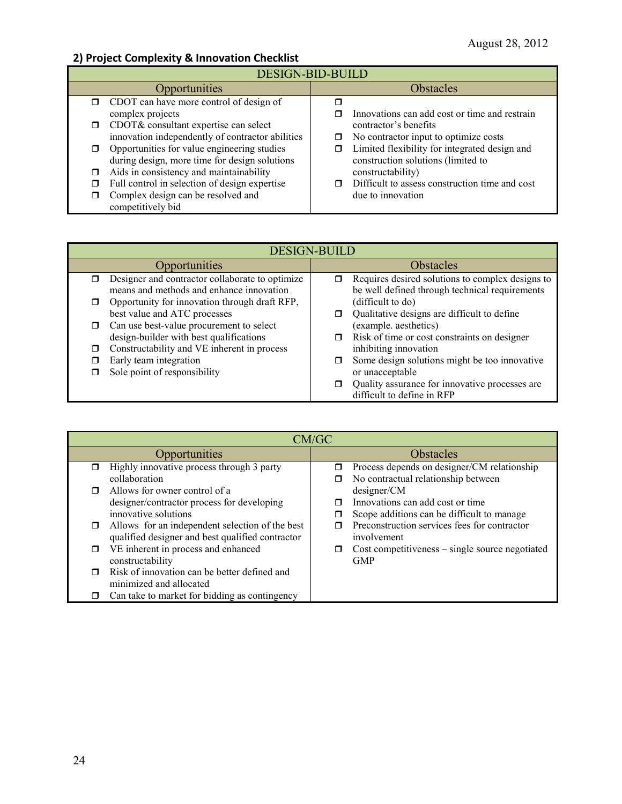### **2) Project Complexity & Innovation Checklist**

| <b>DESIGN-BID-BUILD</b> |                                                  |   |                                                |  |
|-------------------------|--------------------------------------------------|---|------------------------------------------------|--|
|                         | Opportunities                                    |   | <b>Obstacles</b>                               |  |
|                         | $\Box$ CDOT can have more control of design of   |   |                                                |  |
|                         | complex projects                                 |   | Innovations can add cost or time and restrain  |  |
|                         | CDOT& consultant expertise can select            |   | contractor's benefits                          |  |
|                         | innovation independently of contractor abilities | □ | No contractor input to optimize costs          |  |
|                         | Opportunities for value engineering studies      |   | Limited flexibility for integrated design and  |  |
|                         | during design, more time for design solutions    |   | construction solutions (limited to             |  |
|                         | Aids in consistency and maintainability          |   | constructability)                              |  |
|                         | Full control in selection of design expertise    |   | Difficult to assess construction time and cost |  |
|                         | Complex design can be resolved and               |   | due to innovation                              |  |
|                         | competitively bid                                |   |                                                |  |

| <b>DESIGN-BUILD</b> |                                                                                             |   |                                                                                                    |  |
|---------------------|---------------------------------------------------------------------------------------------|---|----------------------------------------------------------------------------------------------------|--|
|                     | Opportunities                                                                               |   | <b>Obstacles</b>                                                                                   |  |
| $\Box$              | Designer and contractor collaborate to optimize<br>means and methods and enhance innovation | σ | Requires desired solutions to complex designs to<br>be well defined through technical requirements |  |
|                     | Opportunity for innovation through draft RFP,<br>best value and ATC processes               |   | (difficult to do)<br>Qualitative designs are difficult to define                                   |  |
| $\Box$              | Can use best-value procurement to select<br>design-builder with best qualifications         |   | (example. aesthetics)<br>Risk of time or cost constraints on designer                              |  |
| П                   | Constructability and VE inherent in process                                                 |   | inhibiting innovation                                                                              |  |
|                     | Early team integration<br>Sole point of responsibility                                      |   | Some design solutions might be too innovative<br>or unacceptable                                   |  |
|                     |                                                                                             |   | Quality assurance for innovative processes are<br>difficult to define in RFP                       |  |

|   | CM/GC                                            |           |                                                 |  |  |
|---|--------------------------------------------------|-----------|-------------------------------------------------|--|--|
|   | Opportunities                                    | Obstacles |                                                 |  |  |
|   | Highly innovative process through 3 party        | □         | Process depends on designer/CM relationship     |  |  |
|   | collaboration                                    |           | No contractual relationship between             |  |  |
|   | Allows for owner control of a                    |           | designer/CM                                     |  |  |
|   | designer/contractor process for developing       |           | Innovations can add cost or time                |  |  |
|   | innovative solutions                             |           | Scope additions can be difficult to manage      |  |  |
| □ | Allows for an independent selection of the best  |           | Preconstruction services fees for contractor    |  |  |
|   | qualified designer and best qualified contractor |           | involvement                                     |  |  |
| ⊓ | VE inherent in process and enhanced              | $\Box$    | Cost competitiveness - single source negotiated |  |  |
|   | constructability                                 |           | <b>GMP</b>                                      |  |  |
|   | Risk of innovation can be better defined and     |           |                                                 |  |  |
|   | minimized and allocated                          |           |                                                 |  |  |
|   | Can take to market for bidding as contingency    |           |                                                 |  |  |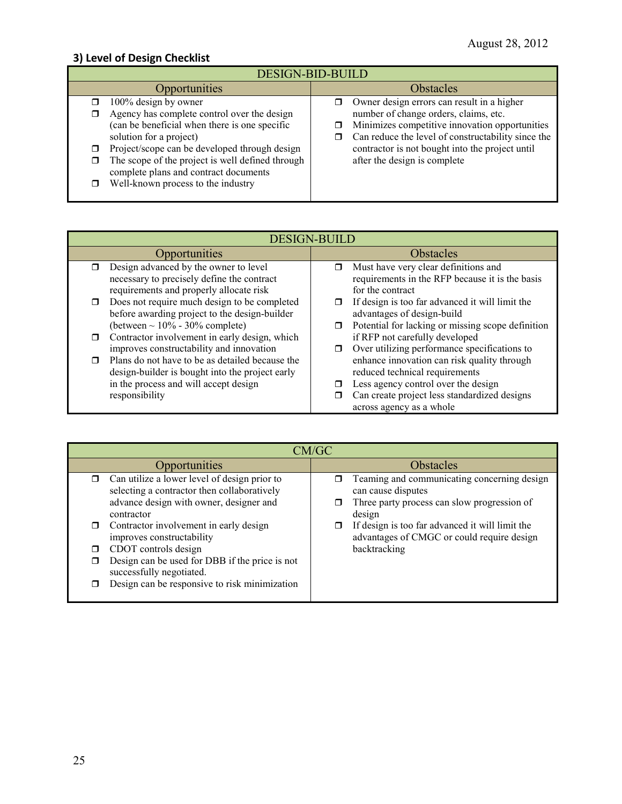### **3) Level of Design Checklist**

| <b>DESIGN-BID-BUILD</b>                                                                                                                                                                                                                                                                                                                                 |                                                                                                                                                                                                                                                                                           |  |  |  |
|---------------------------------------------------------------------------------------------------------------------------------------------------------------------------------------------------------------------------------------------------------------------------------------------------------------------------------------------------------|-------------------------------------------------------------------------------------------------------------------------------------------------------------------------------------------------------------------------------------------------------------------------------------------|--|--|--|
| Opportunities                                                                                                                                                                                                                                                                                                                                           | Obstacles                                                                                                                                                                                                                                                                                 |  |  |  |
| 100% design by owner<br>□<br>Agency has complete control over the design<br>◻<br>(can be beneficial when there is one specific<br>solution for a project)<br>Project/scope can be developed through design<br>□<br>The scope of the project is well defined through<br>◻<br>complete plans and contract documents<br>Well-known process to the industry | Owner design errors can result in a higher<br>σ.<br>number of change orders, claims, etc.<br>Minimizes competitive innovation opportunities<br>Can reduce the level of constructability since the<br>⊓<br>contractor is not bought into the project until<br>after the design is complete |  |  |  |

| <b>DESIGN-BUILD</b>                                                                                                            |                                                                                                                  |  |  |
|--------------------------------------------------------------------------------------------------------------------------------|------------------------------------------------------------------------------------------------------------------|--|--|
| <b>Opportunities</b>                                                                                                           | <b>Obstacles</b>                                                                                                 |  |  |
| Design advanced by the owner to level<br>necessary to precisely define the contract<br>requirements and properly allocate risk | Must have very clear definitions and<br>Π<br>requirements in the RFP because it is the basis<br>for the contract |  |  |
| Does not require much design to be completed<br>before awarding project to the design-builder                                  | If design is too far advanced it will limit the<br>advantages of design-build                                    |  |  |
| (between $\sim 10\%$ - 30% complete)                                                                                           | Potential for lacking or missing scope definition<br>□                                                           |  |  |
| Contractor involvement in early design, which<br>⊓<br>improves constructability and innovation                                 | if RFP not carefully developed<br>Over utilizing performance specifications to                                   |  |  |
| Plans do not have to be as detailed because the<br>design-builder is bought into the project early                             | enhance innovation can risk quality through<br>reduced technical requirements                                    |  |  |
| in the process and will accept design<br>responsibility                                                                        | Less agency control over the design<br>Can create project less standardized designs<br>across agency as a whole  |  |  |

| CM/GC                                                                                                                                                                                                                                                                                                                                                                              |                                                                                                                                                                                                                                             |  |  |  |
|------------------------------------------------------------------------------------------------------------------------------------------------------------------------------------------------------------------------------------------------------------------------------------------------------------------------------------------------------------------------------------|---------------------------------------------------------------------------------------------------------------------------------------------------------------------------------------------------------------------------------------------|--|--|--|
| Opportunities                                                                                                                                                                                                                                                                                                                                                                      | <b>Obstacles</b>                                                                                                                                                                                                                            |  |  |  |
| Can utilize a lower level of design prior to<br>selecting a contractor then collaboratively<br>advance design with owner, designer and<br>contractor<br>Contractor involvement in early design<br>improves constructability<br>CDOT controls design<br>Design can be used for DBB if the price is not<br>successfully negotiated.<br>Design can be responsive to risk minimization | Teaming and communicating concerning design<br>can cause disputes<br>Three party process can slow progression of<br>design<br>If design is too far advanced it will limit the<br>advantages of CMGC or could require design<br>backtracking |  |  |  |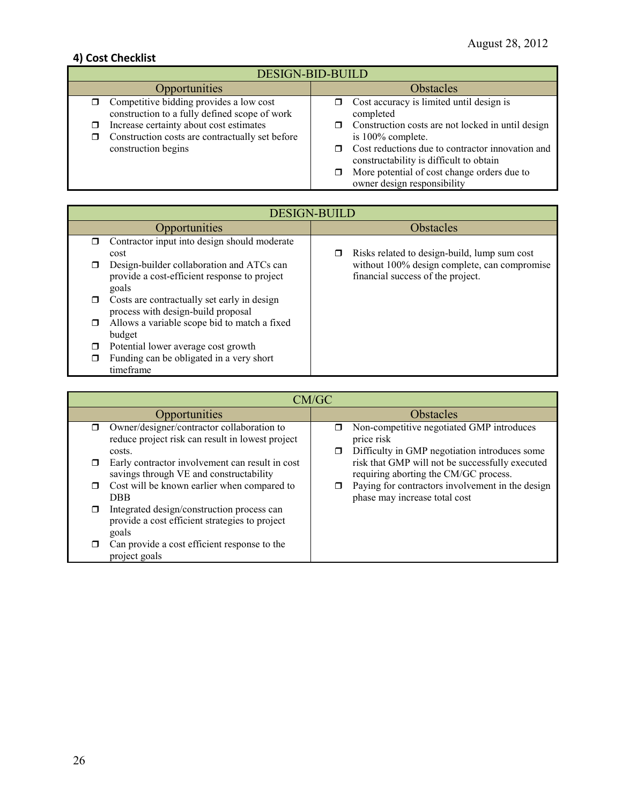### **4) Cost Checklist**

| <b>DESIGN-BID-BUILD</b>                                                                                                      |                                                                                                                            |  |  |
|------------------------------------------------------------------------------------------------------------------------------|----------------------------------------------------------------------------------------------------------------------------|--|--|
| Opportunities                                                                                                                | <b>Obstacles</b>                                                                                                           |  |  |
| Competitive bidding provides a low cost<br>construction to a fully defined scope of work                                     | Cost accuracy is limited until design is<br>completed                                                                      |  |  |
| Increase certainty about cost estimates<br>⊓<br>Construction costs are contractually set before<br>σ.<br>construction begins | Construction costs are not locked in until design<br>is 100% complete.<br>Cost reductions due to contractor innovation and |  |  |
|                                                                                                                              | constructability is difficult to obtain<br>More potential of cost change orders due to<br>owner design responsibility      |  |  |

|        | <b>DESIGN-BUILD</b>                                                                                |                  |                                                                                   |  |  |
|--------|----------------------------------------------------------------------------------------------------|------------------|-----------------------------------------------------------------------------------|--|--|
|        | <b>Opportunities</b>                                                                               | <b>Obstacles</b> |                                                                                   |  |  |
|        | Contractor input into design should moderate<br>cost                                               |                  | Risks related to design-build, lump sum cost                                      |  |  |
|        | Design-builder collaboration and ATCs can<br>provide a cost-efficient response to project<br>goals |                  | without 100% design complete, can compromise<br>financial success of the project. |  |  |
| $\Box$ | Costs are contractually set early in design<br>process with design-build proposal                  |                  |                                                                                   |  |  |
| $\Box$ | Allows a variable scope bid to match a fixed<br>budget                                             |                  |                                                                                   |  |  |
|        | Potential lower average cost growth                                                                |                  |                                                                                   |  |  |
| П      | Funding can be obligated in a very short<br>timeframe                                              |                  |                                                                                   |  |  |

|   | CM/GC                                                                                                    |           |                                                                                                          |  |  |
|---|----------------------------------------------------------------------------------------------------------|-----------|----------------------------------------------------------------------------------------------------------|--|--|
|   | Opportunities                                                                                            | Obstacles |                                                                                                          |  |  |
| ⊓ | Owner/designer/contractor collaboration to<br>reduce project risk can result in lowest project<br>costs. | ⊓<br>⊓    | Non-competitive negotiated GMP introduces<br>price risk<br>Difficulty in GMP negotiation introduces some |  |  |
| ⊓ | Early contractor involvement can result in cost<br>savings through VE and constructability               |           | risk that GMP will not be successfully executed<br>requiring aborting the CM/GC process.                 |  |  |
| □ | Cost will be known earlier when compared to<br><b>DBB</b>                                                |           | Paying for contractors involvement in the design<br>phase may increase total cost                        |  |  |
| ⊓ | Integrated design/construction process can<br>provide a cost efficient strategies to project<br>goals    |           |                                                                                                          |  |  |
|   | Can provide a cost efficient response to the<br>project goals                                            |           |                                                                                                          |  |  |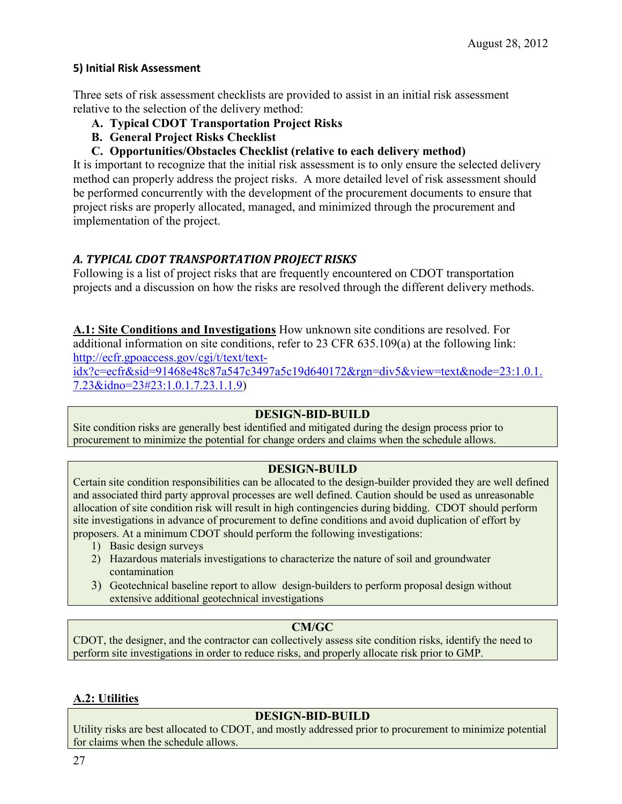#### **5) Initial Risk Assessment**

Three sets of risk assessment checklists are provided to assist in an initial risk assessment relative to the selection of the delivery method:

- **A. Typical CDOT Transportation Project Risks**
- **B. General Project Risks Checklist**
- **C. Opportunities/Obstacles Checklist (relative to each delivery method)**

It is important to recognize that the initial risk assessment is to only ensure the selected delivery method can properly address the project risks. A more detailed level of risk assessment should be performed concurrently with the development of the procurement documents to ensure that project risks are properly allocated, managed, and minimized through the procurement and implementation of the project.

#### *A. TYPICAL CDOT TRANSPORTATION PROJECT RISKS*

Following is a list of project risks that are frequently encountered on CDOT transportation projects and a discussion on how the risks are resolved through the different delivery methods.

**A.1: Site Conditions and Investigations** How unknown site conditions are resolved. For additional information on site conditions, refer to 23 CFR 635.109(a) at the following link: [http://ecfr.gpoaccess.gov/cgi/t/text/text-](http://ecfr.gpoaccess.gov/cgi/t/text/text-idx?c=ecfr&sid=91468e48c87a547c3497a5c19d640172&rgn=div5&view=text&node=23:1.0.1.7.23&idno=23#23:1.0.1.7.23.1.1.9)

[idx?c=ecfr&sid=91468e48c87a547c3497a5c19d640172&rgn=div5&view=text&node=23:1.0.1.](http://ecfr.gpoaccess.gov/cgi/t/text/text-idx?c=ecfr&sid=91468e48c87a547c3497a5c19d640172&rgn=div5&view=text&node=23:1.0.1.7.23&idno=23#23:1.0.1.7.23.1.1.9) [7.23&idno=23#23:1.0.1.7.23.1.1.9\)](http://ecfr.gpoaccess.gov/cgi/t/text/text-idx?c=ecfr&sid=91468e48c87a547c3497a5c19d640172&rgn=div5&view=text&node=23:1.0.1.7.23&idno=23#23:1.0.1.7.23.1.1.9)

#### **DESIGN-BID-BUILD**

Site condition risks are generally best identified and mitigated during the design process prior to procurement to minimize the potential for change orders and claims when the schedule allows.

#### **DESIGN-BUILD**

Certain site condition responsibilities can be allocated to the design-builder provided they are well defined and associated third party approval processes are well defined. Caution should be used as unreasonable allocation of site condition risk will result in high contingencies during bidding. CDOT should perform site investigations in advance of procurement to define conditions and avoid duplication of effort by proposers. At a minimum CDOT should perform the following investigations:

- 1) Basic design surveys
- 2) Hazardous materials investigations to characterize the nature of soil and groundwater contamination
- 3) Geotechnical baseline report to allow design-builders to perform proposal design without extensive additional geotechnical investigations

#### **CM/GC**

CDOT, the designer, and the contractor can collectively assess site condition risks, identify the need to perform site investigations in order to reduce risks, and properly allocate risk prior to GMP.

#### **A.2: Utilities**

#### **DESIGN-BID-BUILD**

Utility risks are best allocated to CDOT, and mostly addressed prior to procurement to minimize potential for claims when the schedule allows.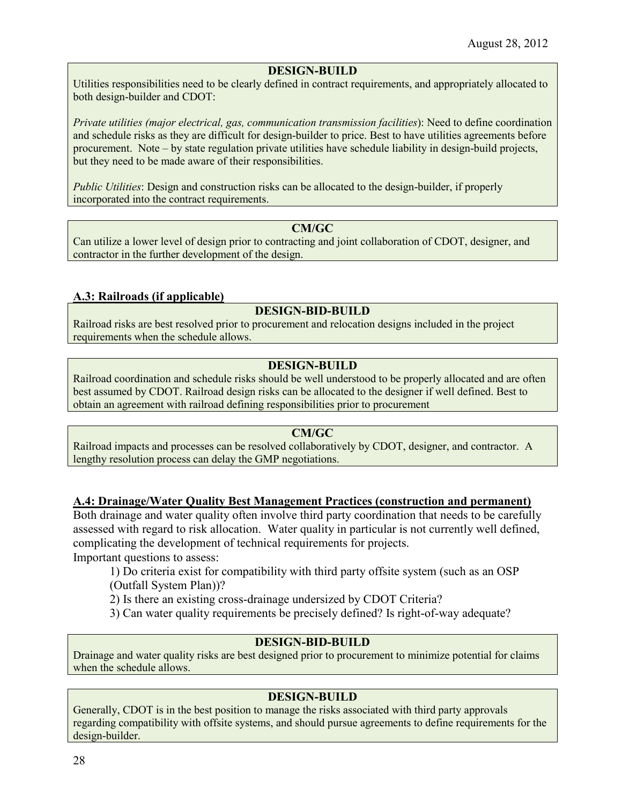#### **DESIGN-BUILD**

Utilities responsibilities need to be clearly defined in contract requirements, and appropriately allocated to both design-builder and CDOT:

*Private utilities (major electrical, gas, communication transmission facilities*): Need to define coordination and schedule risks as they are difficult for design-builder to price. Best to have utilities agreements before procurement. Note – by state regulation private utilities have schedule liability in design-build projects, but they need to be made aware of their responsibilities.

*Public Utilities*: Design and construction risks can be allocated to the design-builder, if properly incorporated into the contract requirements.

#### **CM/GC**

Can utilize a lower level of design prior to contracting and joint collaboration of CDOT, designer, and contractor in the further development of the design.

#### **A.3: Railroads (if applicable)**

#### **DESIGN-BID-BUILD**

Railroad risks are best resolved prior to procurement and relocation designs included in the project requirements when the schedule allows.

#### **DESIGN-BUILD**

Railroad coordination and schedule risks should be well understood to be properly allocated and are often best assumed by CDOT. Railroad design risks can be allocated to the designer if well defined. Best to obtain an agreement with railroad defining responsibilities prior to procurement

#### **CM/GC**

Railroad impacts and processes can be resolved collaboratively by CDOT, designer, and contractor. A lengthy resolution process can delay the GMP negotiations.

#### **A.4: Drainage/Water Quality Best Management Practices (construction and permanent)**

Both drainage and water quality often involve third party coordination that needs to be carefully assessed with regard to risk allocation. Water quality in particular is not currently well defined, complicating the development of technical requirements for projects.

Important questions to assess:

1) Do criteria exist for compatibility with third party offsite system (such as an OSP (Outfall System Plan))?

2) Is there an existing cross-drainage undersized by CDOT Criteria?

3) Can water quality requirements be precisely defined? Is right-of-way adequate?

#### **DESIGN-BID-BUILD**

Drainage and water quality risks are best designed prior to procurement to minimize potential for claims when the schedule allows.

#### **DESIGN-BUILD**

Generally, CDOT is in the best position to manage the risks associated with third party approvals regarding compatibility with offsite systems, and should pursue agreements to define requirements for the design-builder.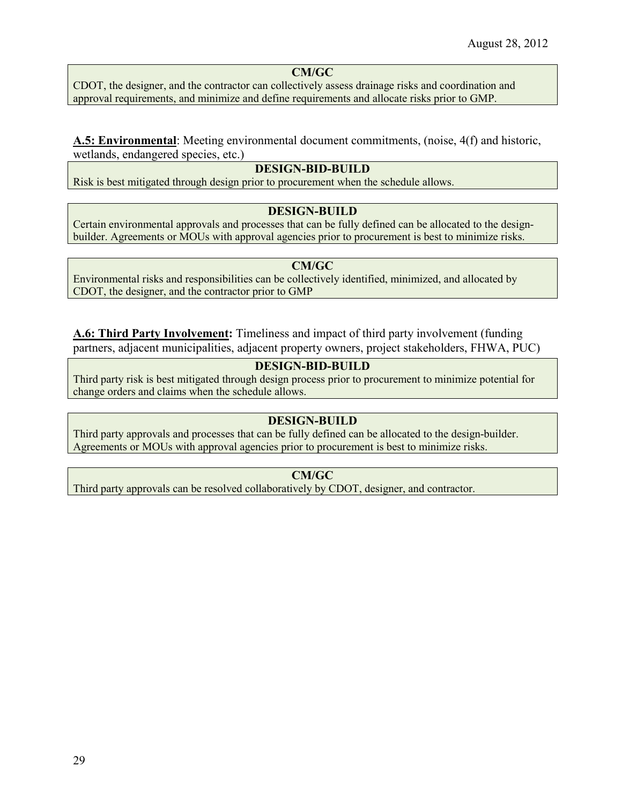### **CM/GC**

CDOT, the designer, and the contractor can collectively assess drainage risks and coordination and approval requirements, and minimize and define requirements and allocate risks prior to GMP.

#### **A.5: Environmental**: Meeting environmental document commitments, (noise, 4(f) and historic, wetlands, endangered species, etc.)

#### **DESIGN-BID-BUILD**

Risk is best mitigated through design prior to procurement when the schedule allows.

#### **DESIGN-BUILD**

Certain environmental approvals and processes that can be fully defined can be allocated to the designbuilder. Agreements or MOUs with approval agencies prior to procurement is best to minimize risks.

#### **CM/GC**

Environmental risks and responsibilities can be collectively identified, minimized, and allocated by CDOT, the designer, and the contractor prior to GMP

**A.6: Third Party Involvement:** Timeliness and impact of third party involvement (funding partners, adjacent municipalities, adjacent property owners, project stakeholders, FHWA, PUC)

#### **DESIGN-BID-BUILD**

Third party risk is best mitigated through design process prior to procurement to minimize potential for change orders and claims when the schedule allows.

#### **DESIGN-BUILD**

Third party approvals and processes that can be fully defined can be allocated to the design-builder. Agreements or MOUs with approval agencies prior to procurement is best to minimize risks.

#### **CM/GC**

Third party approvals can be resolved collaboratively by CDOT, designer, and contractor.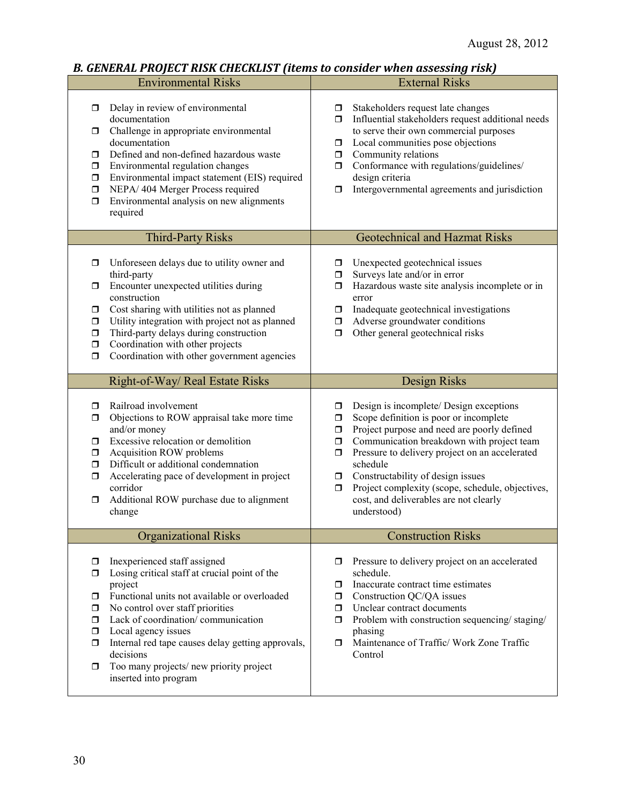### *B. GENERAL PROJECT RISK CHECKLIST (items to consider when assessing risk)*

|                                                                                 | <b>Environmental Risks</b>                                                                                                                                                                                                                                                                                                                             |                                                      | <b>External Risks</b>                                                                                                                                                                                                                                                                                                                                                                         |
|---------------------------------------------------------------------------------|--------------------------------------------------------------------------------------------------------------------------------------------------------------------------------------------------------------------------------------------------------------------------------------------------------------------------------------------------------|------------------------------------------------------|-----------------------------------------------------------------------------------------------------------------------------------------------------------------------------------------------------------------------------------------------------------------------------------------------------------------------------------------------------------------------------------------------|
| σ.<br>documentation<br>0<br>documentation<br>σ.<br>0<br>σ<br>σ<br>σ<br>required | Delay in review of environmental<br>Challenge in appropriate environmental<br>Defined and non-defined hazardous waste<br>Environmental regulation changes<br>Environmental impact statement (EIS) required<br>NEPA/ 404 Merger Process required<br>Environmental analysis on new alignments                                                            | σ.<br>ο.<br>$\Box$<br>$\Box$<br>$\Box$<br>σ          | Stakeholders request late changes<br>Influential stakeholders request additional needs<br>to serve their own commercial purposes<br>Local communities pose objections<br>Community relations<br>Conformance with regulations/guidelines/<br>design criteria<br>Intergovernmental agreements and jurisdiction                                                                                  |
|                                                                                 | <b>Third-Party Risks</b>                                                                                                                                                                                                                                                                                                                               |                                                      | <b>Geotechnical and Hazmat Risks</b>                                                                                                                                                                                                                                                                                                                                                          |
| σ<br>third-party<br>σ<br>construction<br>σ<br>σ<br>σ<br>σ<br>$\Box$             | Unforeseen delays due to utility owner and<br>Encounter unexpected utilities during<br>Cost sharing with utilities not as planned<br>Utility integration with project not as planned<br>Third-party delays during construction<br>Coordination with other projects<br>Coordination with other government agencies                                      | □<br>□<br>$\Box$<br>0<br>$\Box$<br>$\Box$            | Unexpected geotechnical issues<br>Surveys late and/or in error<br>Hazardous waste site analysis incomplete or in<br>error<br>Inadequate geotechnical investigations<br>Adverse groundwater conditions<br>Other general geotechnical risks                                                                                                                                                     |
|                                                                                 | Right-of-Way/ Real Estate Risks                                                                                                                                                                                                                                                                                                                        |                                                      | Design Risks                                                                                                                                                                                                                                                                                                                                                                                  |
| σ.<br>0<br>and/or money<br>σ<br>0<br>$\Box$<br>σ<br>corridor<br>σ<br>change     | Railroad involvement<br>Objections to ROW appraisal take more time<br>Excessive relocation or demolition<br>Acquisition ROW problems<br>Difficult or additional condemnation<br>Accelerating pace of development in project<br>Additional ROW purchase due to alignment                                                                                | $\Box$<br>$\Box$<br>$\Box$<br>$\Box$<br>0<br>σ.<br>0 | Design is incomplete/ Design exceptions<br>Scope definition is poor or incomplete<br>Project purpose and need are poorly defined<br>Communication breakdown with project team<br>Pressure to delivery project on an accelerated<br>schedule<br>Constructability of design issues<br>Project complexity (scope, schedule, objectives,<br>cost, and deliverables are not clearly<br>understood) |
|                                                                                 | <b>Organizational Risks</b>                                                                                                                                                                                                                                                                                                                            |                                                      | <b>Construction Risks</b>                                                                                                                                                                                                                                                                                                                                                                     |
| σ<br>◻<br>project<br>σ.<br>σ.<br>σ<br>0<br>σ<br>decisions<br>0                  | Inexperienced staff assigned<br>Losing critical staff at crucial point of the<br>Functional units not available or overloaded<br>No control over staff priorities<br>Lack of coordination/communication<br>Local agency issues<br>Internal red tape causes delay getting approvals,<br>Too many projects/new priority project<br>inserted into program | □<br>σ<br>σ.<br>$\Box$<br>$\Box$<br>0.               | Pressure to delivery project on an accelerated<br>schedule.<br>Inaccurate contract time estimates<br>Construction QC/QA issues<br>Unclear contract documents<br>Problem with construction sequencing/staging/<br>phasing<br>Maintenance of Traffic/ Work Zone Traffic<br>Control                                                                                                              |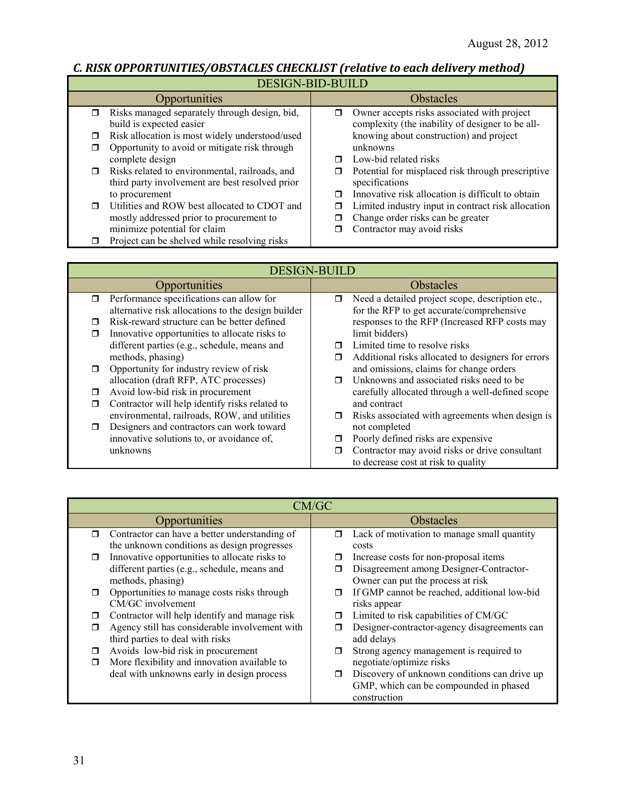# *C. RISK OPPORTUNITIES/OBSTACLES CHECKLIST (relative to each delivery method)*

| DL91013-DID-DOILD                                                                                           |                                                                                                      |  |
|-------------------------------------------------------------------------------------------------------------|------------------------------------------------------------------------------------------------------|--|
| <b>Opportunities</b>                                                                                        | <b>Obstacles</b>                                                                                     |  |
| Risks managed separately through design, bid,<br>$\Box$<br>build is expected easier                         | Owner accepts risks associated with project<br>π<br>complexity (the inability of designer to be all- |  |
| Risk allocation is most widely understood/used<br>0<br>Opportunity to avoid or mitigate risk through<br>□   | knowing about construction) and project<br>unknowns                                                  |  |
| complete design                                                                                             | Low-bid related risks<br>п                                                                           |  |
| Risks related to environmental, railroads, and<br>$\Box$<br>third party involvement are best resolved prior | Potential for misplaced risk through prescriptive<br>п<br>specifications                             |  |
| to procurement                                                                                              | Innovative risk allocation is difficult to obtain<br>⊓                                               |  |
| Utilities and ROW best allocated to CDOT and<br>$\Box$                                                      | Limited industry input in contract risk allocation<br>⊓                                              |  |
| mostly addressed prior to procurement to                                                                    | Change order risks can be greater<br>□                                                               |  |
| minimize potential for claim                                                                                | Contractor may avoid risks<br>⊓                                                                      |  |
| Project can be shelved while resolving risks                                                                |                                                                                                      |  |

|        | <b>DESIGN-BUILD</b>                                |        |                                                                                       |
|--------|----------------------------------------------------|--------|---------------------------------------------------------------------------------------|
|        | Opportunities                                      |        | Obstacles                                                                             |
| $\Box$ | Performance specifications can allow for           | $\Box$ | Need a detailed project scope, description etc.,                                      |
|        | alternative risk allocations to the design builder |        | for the RFP to get accurate/comprehensive                                             |
| п      | Risk-reward structure can be better defined        |        | responses to the RFP (Increased RFP costs may                                         |
|        | Innovative opportunities to allocate risks to      |        | limit bidders)                                                                        |
|        | different parties (e.g., schedule, means and       |        | Limited time to resolve risks                                                         |
|        | methods, phasing)                                  | $\Box$ | Additional risks allocated to designers for errors                                    |
|        | Opportunity for industry review of risk            |        | and omissions, claims for change orders                                               |
|        | allocation (draft RFP, ATC processes)              |        | Unknowns and associated risks need to be                                              |
|        | Avoid low-bid risk in procurement                  |        | carefully allocated through a well-defined scope                                      |
|        | Contractor will help identify risks related to     |        | and contract                                                                          |
|        | environmental, railroads, ROW, and utilities       |        | $\Box$ Risks associated with agreements when design is                                |
| $\Box$ | Designers and contractors can work toward          |        | not completed                                                                         |
|        | innovative solutions to, or avoidance of,          |        | Poorly defined risks are expensive                                                    |
|        | unknowns                                           |        | Contractor may avoid risks or drive consultant<br>to decrease cost at risk to quality |

|        | CM/GC                                          |                  |                                              |  |
|--------|------------------------------------------------|------------------|----------------------------------------------|--|
|        | Opportunities                                  | <b>Obstacles</b> |                                              |  |
| $\Box$ | Contractor can have a better understanding of  | σ                | Lack of motivation to manage small quantity  |  |
|        | the unknown conditions as design progresses    |                  | costs                                        |  |
| $\Box$ | Innovative opportunities to allocate risks to  |                  | Increase costs for non-proposal items        |  |
|        | different parties (e.g., schedule, means and   |                  | Disagreement among Designer-Contractor-      |  |
|        | methods, phasing)                              |                  | Owner can put the process at risk            |  |
| $\Box$ | Opportunities to manage costs risks through    |                  | If GMP cannot be reached, additional low-bid |  |
|        | CM/GC involvement                              |                  | risks appear                                 |  |
| □      | Contractor will help identify and manage risk  | □                | Limited to risk capabilities of CM/GC        |  |
| π      | Agency still has considerable involvement with |                  | Designer-contractor-agency disagreements can |  |
|        | third parties to deal with risks               |                  | add delays                                   |  |
| Ω      | Avoids low-bid risk in procurement             | ⊓                | Strong agency management is required to      |  |
| Ω      | More flexibility and innovation available to   |                  | negotiate/optimize risks                     |  |
|        | deal with unknowns early in design process     | $\Box$           | Discovery of unknown conditions can drive up |  |
|        |                                                |                  | GMP, which can be compounded in phased       |  |
|        |                                                |                  | construction                                 |  |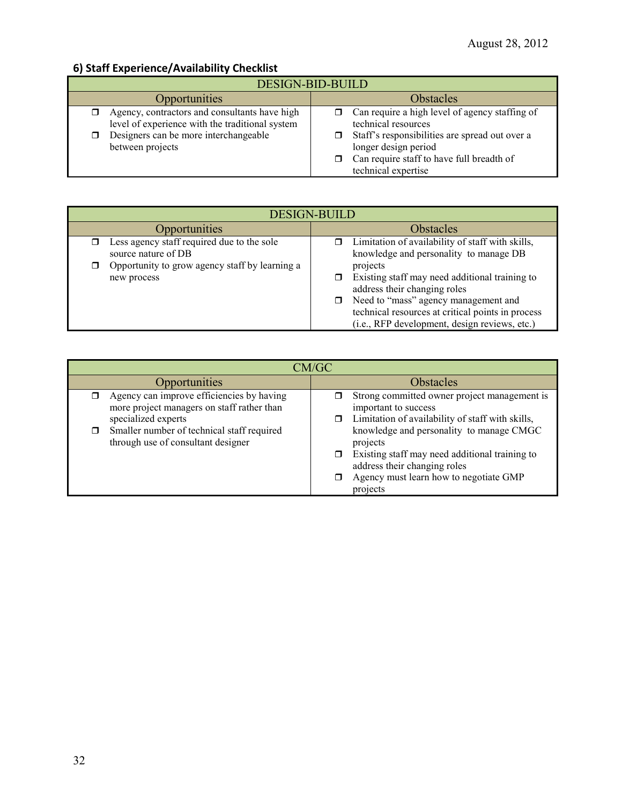### **6) Staff Experience/Availability Checklist**

| DESIGN-BID-BUILD                                                                                                                                              |                                                                                                                                                                                                                                   |  |  |
|---------------------------------------------------------------------------------------------------------------------------------------------------------------|-----------------------------------------------------------------------------------------------------------------------------------------------------------------------------------------------------------------------------------|--|--|
| Opportunities                                                                                                                                                 | <b>Obstacles</b>                                                                                                                                                                                                                  |  |  |
| Agency, contractors and consultants have high<br>level of experience with the traditional system<br>Designers can be more interchangeable<br>between projects | Can require a high level of agency staffing of<br>technical resources<br>$\Box$ Staff's responsibilities are spread out over a<br>longer design period<br>$\Box$ Can require staff to have full breadth of<br>technical expertise |  |  |

| DESIGN-BUILD                                                                                                                       |                                                                                                                                                                                 |  |  |
|------------------------------------------------------------------------------------------------------------------------------------|---------------------------------------------------------------------------------------------------------------------------------------------------------------------------------|--|--|
| <b>Opportunities</b>                                                                                                               | <b>Obstacles</b>                                                                                                                                                                |  |  |
| Less agency staff required due to the sole<br>source nature of DB<br>Opportunity to grow agency staff by learning a<br>new process | Limitation of availability of staff with skills,<br>knowledge and personality to manage DB<br>projects<br>Existing staff may need additional training to                        |  |  |
|                                                                                                                                    | address their changing roles<br>Need to "mass" agency management and<br>□<br>technical resources at critical points in process<br>(i.e., RFP development, design reviews, etc.) |  |  |

| CM/GC                                                                                                          |                                                                                                                                                                                              |  |  |
|----------------------------------------------------------------------------------------------------------------|----------------------------------------------------------------------------------------------------------------------------------------------------------------------------------------------|--|--|
| Opportunities                                                                                                  | <b>Obstacles</b>                                                                                                                                                                             |  |  |
| Agency can improve efficiencies by having<br>more project managers on staff rather than<br>specialized experts | Strong committed owner project management is<br>important to success<br>$\Box$ Limitation of availability of staff with skills,                                                              |  |  |
| Smaller number of technical staff required<br>through use of consultant designer                               | knowledge and personality to manage CMGC<br>projects<br>Existing staff may need additional training to<br>address their changing roles<br>Agency must learn how to negotiate GMP<br>projects |  |  |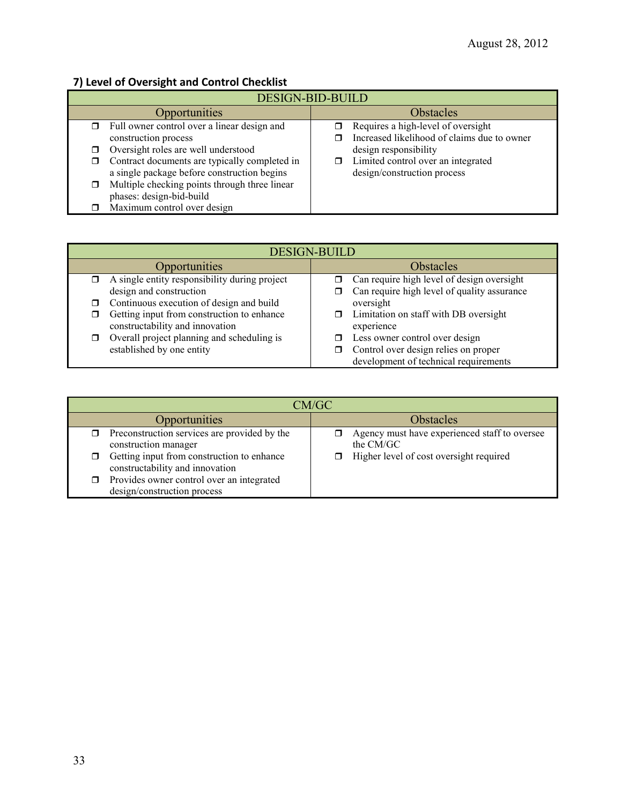### **7) Level of Oversight and Control Checklist**

| <b>DESIGN-BID-BUILD</b> |                                               |  |                                             |
|-------------------------|-----------------------------------------------|--|---------------------------------------------|
|                         | Opportunities                                 |  | <b>Obstacles</b>                            |
| π.                      | Full owner control over a linear design and   |  | Requires a high-level of oversight          |
|                         | construction process                          |  | Increased likelihood of claims due to owner |
| ⊓                       | Oversight roles are well understood           |  | design responsibility                       |
|                         | Contract documents are typically completed in |  | Limited control over an integrated          |
|                         | a single package before construction begins   |  | design/construction process                 |
| □                       | Multiple checking points through three linear |  |                                             |
|                         | phases: design-bid-build                      |  |                                             |
|                         | Maximum control over design                   |  |                                             |

| <b>DESIGN-BUILD</b> |                                                                               |  |                                                                               |
|---------------------|-------------------------------------------------------------------------------|--|-------------------------------------------------------------------------------|
|                     | <b>Opportunities</b>                                                          |  | <b>Obstacles</b>                                                              |
|                     | $\Box$ A single entity responsibility during project                          |  | Can require high level of design oversight                                    |
|                     | design and construction                                                       |  | Can require high level of quality assurance                                   |
| $\Box$              | Continuous execution of design and build                                      |  | oversight                                                                     |
| ◻                   | Getting input from construction to enhance<br>constructability and innovation |  | Limitation on staff with DB oversight<br>experience                           |
| σ                   | Overall project planning and scheduling is                                    |  | Less owner control over design                                                |
|                     | established by one entity                                                     |  | Control over design relies on proper<br>development of technical requirements |

| CM/GC                                                                         |                                                            |  |  |
|-------------------------------------------------------------------------------|------------------------------------------------------------|--|--|
| Opportunities                                                                 | <b>Obstacles</b>                                           |  |  |
| Preconstruction services are provided by the<br>construction manager          | Agency must have experienced staff to oversee<br>the CM/GC |  |  |
| Getting input from construction to enhance<br>constructability and innovation | Higher level of cost oversight required                    |  |  |
| Provides owner control over an integrated<br>design/construction process      |                                                            |  |  |